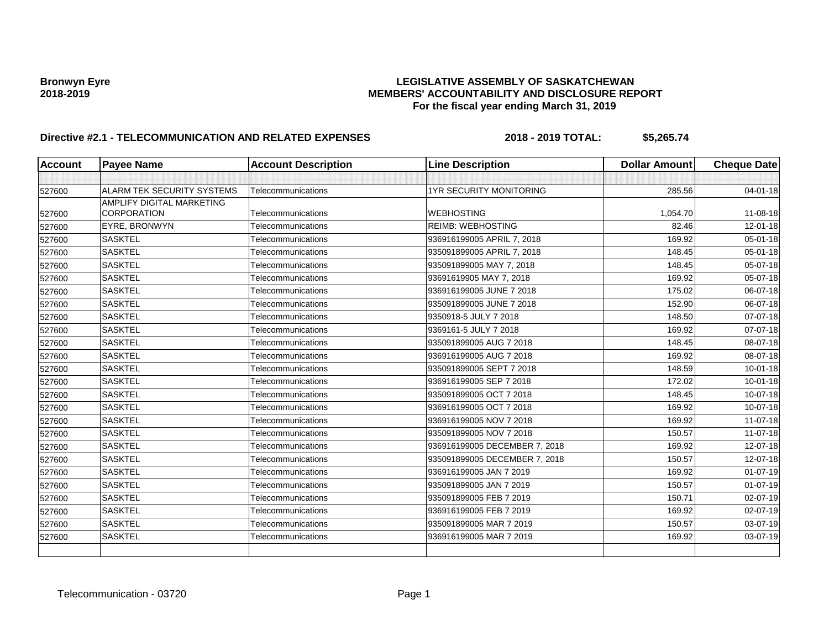| <b>Account</b> | <b>Payee Name</b>          | <b>Account Description</b> | <b>Line Description</b>        | <b>Dollar Amount</b> | <b>Cheque Date</b> |
|----------------|----------------------------|----------------------------|--------------------------------|----------------------|--------------------|
|                |                            |                            |                                |                      |                    |
| 527600         | ALARM TEK SECURITY SYSTEMS | Telecommunications         | <b>1YR SECURITY MONITORING</b> | 285.56               | $04 - 01 - 18$     |
|                | AMPLIFY DIGITAL MARKETING  |                            |                                |                      |                    |
| 527600         | <b>CORPORATION</b>         | Telecommunications         | <b>WEBHOSTING</b>              | 1,054.70             | 11-08-18           |
| 527600         | EYRE, BRONWYN              | Telecommunications         | <b>REIMB: WEBHOSTING</b>       | 82.46                | $12 - 01 - 18$     |
| 527600         | <b>SASKTEL</b>             | Telecommunications         | 936916199005 APRIL 7, 2018     | 169.92               | 05-01-18           |
| 527600         | <b>SASKTEL</b>             | Telecommunications         | 935091899005 APRIL 7, 2018     | 148.45               | 05-01-18           |
| 527600         | <b>SASKTEL</b>             | Telecommunications         | 935091899005 MAY 7, 2018       | 148.45               | 05-07-18           |
| 527600         | <b>SASKTEL</b>             | Telecommunications         | 93691619905 MAY 7, 2018        | 169.92               | 05-07-18           |
| 527600         | <b>SASKTEL</b>             | Telecommunications         | 936916199005 JUNE 7 2018       | 175.02               | 06-07-18           |
| 527600         | <b>SASKTEL</b>             | Telecommunications         | 935091899005 JUNE 7 2018       | 152.90               | 06-07-18           |
| 527600         | <b>SASKTEL</b>             | Telecommunications         | 9350918-5 JULY 7 2018          | 148.50               | 07-07-18           |
| 527600         | <b>SASKTEL</b>             | Telecommunications         | 9369161-5 JULY 7 2018          | 169.92               | 07-07-18           |
| 527600         | <b>SASKTEL</b>             | Telecommunications         | 935091899005 AUG 7 2018        | 148.45               | 08-07-18           |
| 527600         | <b>SASKTEL</b>             | Telecommunications         | 936916199005 AUG 7 2018        | 169.92               | 08-07-18           |
| 527600         | <b>SASKTEL</b>             | Telecommunications         | 935091899005 SEPT 7 2018       | 148.59               | $10 - 01 - 18$     |
| 527600         | <b>SASKTEL</b>             | Telecommunications         | 936916199005 SEP 7 2018        | 172.02               | $10 - 01 - 18$     |
| 527600         | <b>SASKTEL</b>             | Telecommunications         | 935091899005 OCT 7 2018        | 148.45               | 10-07-18           |
| 527600         | <b>SASKTEL</b>             | Telecommunications         | 936916199005 OCT 7 2018        | 169.92               | 10-07-18           |
| 527600         | <b>SASKTEL</b>             | Telecommunications         | 936916199005 NOV 7 2018        | 169.92               | 11-07-18           |
| 527600         | <b>SASKTEL</b>             | Telecommunications         | 935091899005 NOV 7 2018        | 150.57               | 11-07-18           |
| 527600         | <b>SASKTEL</b>             | Telecommunications         | 936916199005 DECEMBER 7, 2018  | 169.92               | 12-07-18           |
| 527600         | <b>SASKTEL</b>             | Telecommunications         | 935091899005 DECEMBER 7, 2018  | 150.57               | 12-07-18           |
| 527600         | <b>SASKTEL</b>             | Telecommunications         | 936916199005 JAN 7 2019        | 169.92               | $01-07-19$         |
| 527600         | <b>SASKTEL</b>             | Telecommunications         | 935091899005 JAN 7 2019        | 150.57               | $01-07-19$         |
| 527600         | <b>SASKTEL</b>             | Telecommunications         | 935091899005 FEB 7 2019        | 150.71               | 02-07-19           |
| 527600         | <b>SASKTEL</b>             | Telecommunications         | 936916199005 FEB 7 2019        | 169.92               | 02-07-19           |
| 527600         | <b>SASKTEL</b>             | Telecommunications         | 935091899005 MAR 7 2019        | 150.57               | 03-07-19           |
| 527600         | <b>SASKTEL</b>             | Telecommunications         | 936916199005 MAR 7 2019        | 169.92               | 03-07-19           |
|                |                            |                            |                                |                      |                    |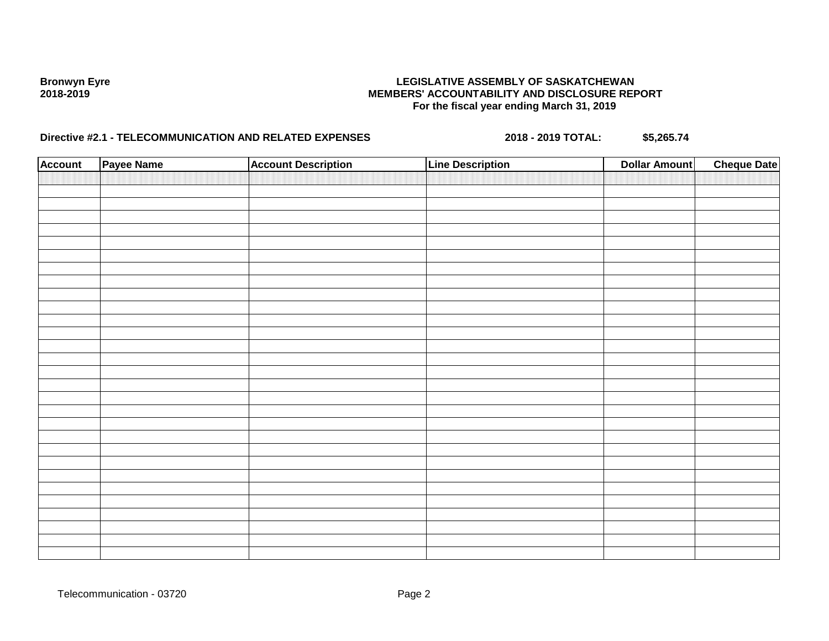| <b>Account</b> | Payee Name | <b>Account Description</b> | <b>Line Description</b> | <b>Dollar Amount</b> | <b>Cheque Date</b> |
|----------------|------------|----------------------------|-------------------------|----------------------|--------------------|
|                |            |                            |                         |                      |                    |
|                |            |                            |                         |                      |                    |
|                |            |                            |                         |                      |                    |
|                |            |                            |                         |                      |                    |
|                |            |                            |                         |                      |                    |
|                |            |                            |                         |                      |                    |
|                |            |                            |                         |                      |                    |
|                |            |                            |                         |                      |                    |
|                |            |                            |                         |                      |                    |
|                |            |                            |                         |                      |                    |
|                |            |                            |                         |                      |                    |
|                |            |                            |                         |                      |                    |
|                |            |                            |                         |                      |                    |
|                |            |                            |                         |                      |                    |
|                |            |                            |                         |                      |                    |
|                |            |                            |                         |                      |                    |
|                |            |                            |                         |                      |                    |
|                |            |                            |                         |                      |                    |
|                |            |                            |                         |                      |                    |
|                |            |                            |                         |                      |                    |
|                |            |                            |                         |                      |                    |
|                |            |                            |                         |                      |                    |
|                |            |                            |                         |                      |                    |
|                |            |                            |                         |                      |                    |
|                |            |                            |                         |                      |                    |
|                |            |                            |                         |                      |                    |
|                |            |                            |                         |                      |                    |
|                |            |                            |                         |                      |                    |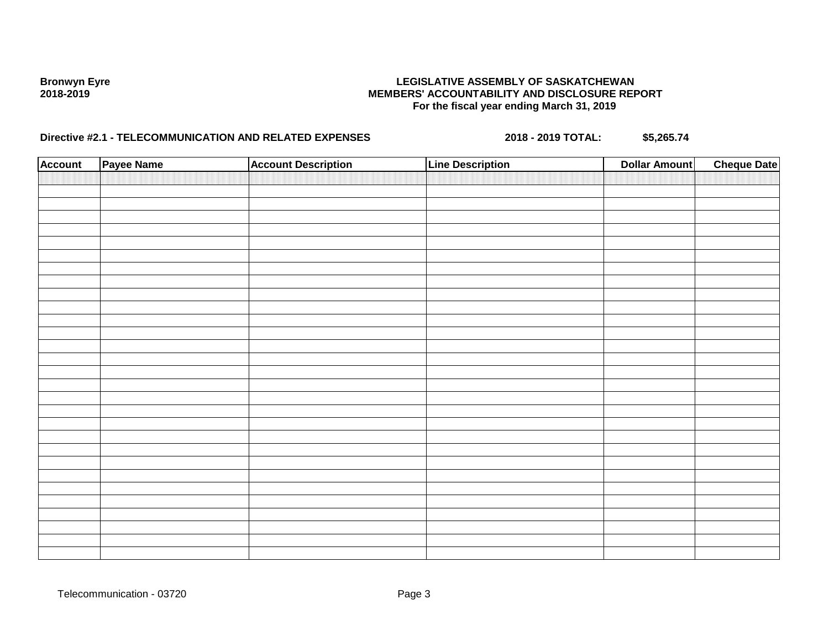| <b>Account</b> | Payee Name | <b>Account Description</b> | <b>Line Description</b> | <b>Dollar Amount</b> | <b>Cheque Date</b> |
|----------------|------------|----------------------------|-------------------------|----------------------|--------------------|
|                |            |                            |                         |                      |                    |
|                |            |                            |                         |                      |                    |
|                |            |                            |                         |                      |                    |
|                |            |                            |                         |                      |                    |
|                |            |                            |                         |                      |                    |
|                |            |                            |                         |                      |                    |
|                |            |                            |                         |                      |                    |
|                |            |                            |                         |                      |                    |
|                |            |                            |                         |                      |                    |
|                |            |                            |                         |                      |                    |
|                |            |                            |                         |                      |                    |
|                |            |                            |                         |                      |                    |
|                |            |                            |                         |                      |                    |
|                |            |                            |                         |                      |                    |
|                |            |                            |                         |                      |                    |
|                |            |                            |                         |                      |                    |
|                |            |                            |                         |                      |                    |
|                |            |                            |                         |                      |                    |
|                |            |                            |                         |                      |                    |
|                |            |                            |                         |                      |                    |
|                |            |                            |                         |                      |                    |
|                |            |                            |                         |                      |                    |
|                |            |                            |                         |                      |                    |
|                |            |                            |                         |                      |                    |
|                |            |                            |                         |                      |                    |
|                |            |                            |                         |                      |                    |
|                |            |                            |                         |                      |                    |
|                |            |                            |                         |                      |                    |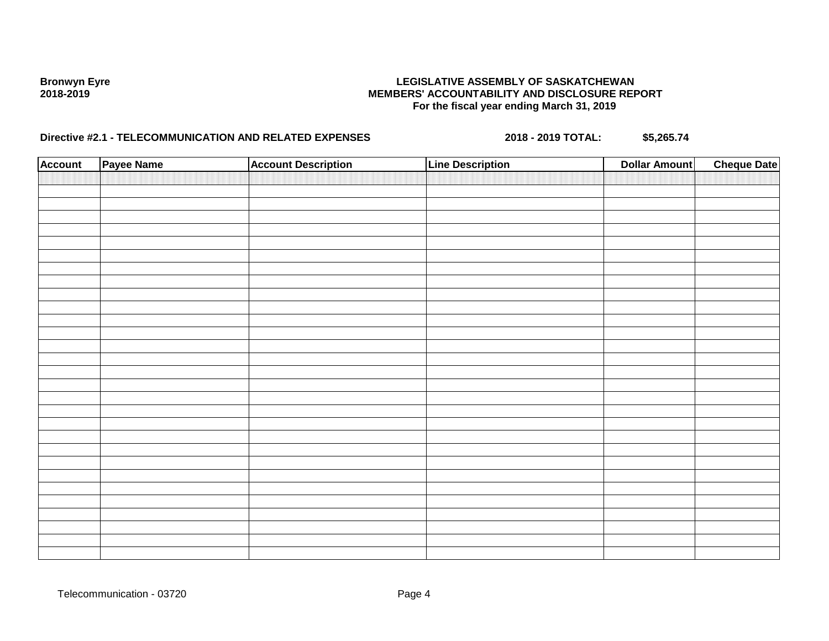| <b>Account</b> | Payee Name | <b>Account Description</b> | <b>Line Description</b> | <b>Dollar Amount</b> | <b>Cheque Date</b> |
|----------------|------------|----------------------------|-------------------------|----------------------|--------------------|
|                |            |                            |                         |                      |                    |
|                |            |                            |                         |                      |                    |
|                |            |                            |                         |                      |                    |
|                |            |                            |                         |                      |                    |
|                |            |                            |                         |                      |                    |
|                |            |                            |                         |                      |                    |
|                |            |                            |                         |                      |                    |
|                |            |                            |                         |                      |                    |
|                |            |                            |                         |                      |                    |
|                |            |                            |                         |                      |                    |
|                |            |                            |                         |                      |                    |
|                |            |                            |                         |                      |                    |
|                |            |                            |                         |                      |                    |
|                |            |                            |                         |                      |                    |
|                |            |                            |                         |                      |                    |
|                |            |                            |                         |                      |                    |
|                |            |                            |                         |                      |                    |
|                |            |                            |                         |                      |                    |
|                |            |                            |                         |                      |                    |
|                |            |                            |                         |                      |                    |
|                |            |                            |                         |                      |                    |
|                |            |                            |                         |                      |                    |
|                |            |                            |                         |                      |                    |
|                |            |                            |                         |                      |                    |
|                |            |                            |                         |                      |                    |
|                |            |                            |                         |                      |                    |
|                |            |                            |                         |                      |                    |
|                |            |                            |                         |                      |                    |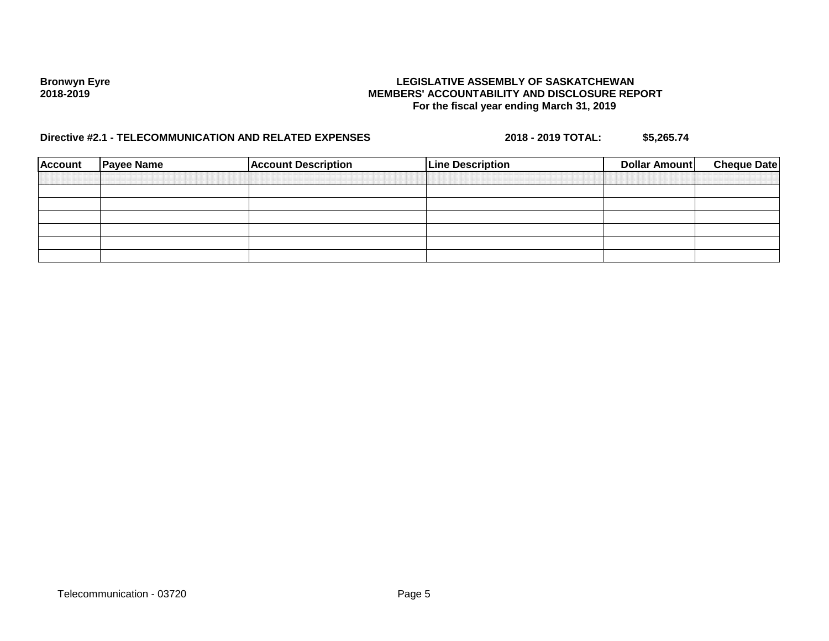| <b>Account</b> | <b>Payee Name</b> | <b>Account Description</b> | <b>Line Description</b> | <b>Dollar Amount</b> | <b>Cheque Date</b> |
|----------------|-------------------|----------------------------|-------------------------|----------------------|--------------------|
|                |                   |                            |                         |                      |                    |
|                |                   |                            |                         |                      |                    |
|                |                   |                            |                         |                      |                    |
|                |                   |                            |                         |                      |                    |
|                |                   |                            |                         |                      |                    |
|                |                   |                            |                         |                      |                    |
|                |                   |                            |                         |                      |                    |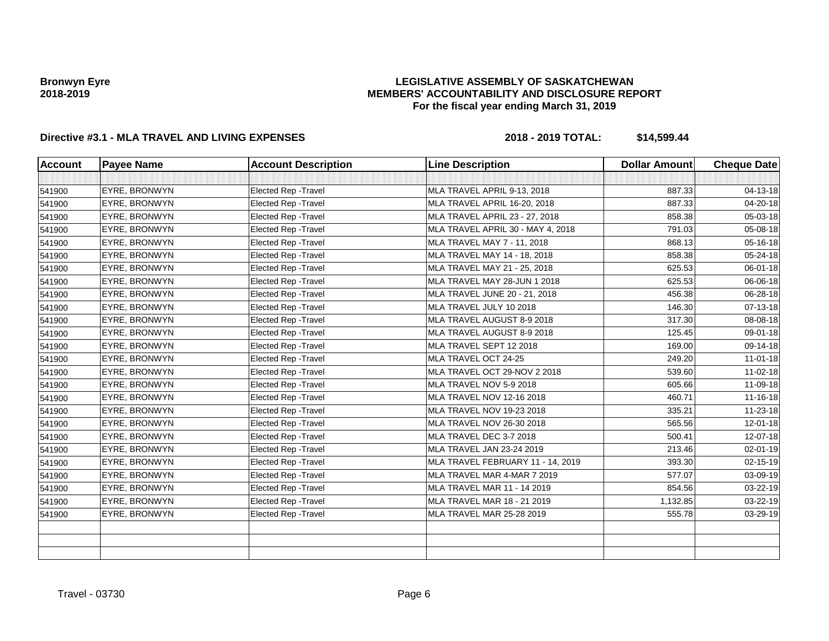### **LEGISLATIVE ASSEMBLY OF SASKATCHEWAN MEMBERS' ACCOUNTABILITY AND DISCLOSURE REPORT For the fiscal year ending March 31, 2019**

| <b>Account</b> | <b>Payee Name</b>    | <b>Account Description</b>  | <b>Line Description</b>               | <b>Dollar Amount</b> | <b>Cheque Date</b> |
|----------------|----------------------|-----------------------------|---------------------------------------|----------------------|--------------------|
|                |                      |                             |                                       |                      |                    |
| 541900         | EYRE, BRONWYN        | Elected Rep - Travel        | MLA TRAVEL APRIL 9-13, 2018           | 887.33               | 04-13-18           |
| 541900         | EYRE, BRONWYN        | <b>Elected Rep - Travel</b> | MLA TRAVEL APRIL 16-20, 2018          | 887.33               | 04-20-18           |
| 541900         | <b>EYRE, BRONWYN</b> | Elected Rep - Travel        | <b>MLA TRAVEL APRIL 23 - 27, 2018</b> | 858.38               | 05-03-18           |
| 541900         | EYRE, BRONWYN        | Elected Rep - Travel        | MLA TRAVEL APRIL 30 - MAY 4, 2018     | 791.03               | 05-08-18           |
| 541900         | EYRE, BRONWYN        | Elected Rep - Travel        | MLA TRAVEL MAY 7 - 11, 2018           | 868.13               | 05-16-18           |
| 541900         | EYRE, BRONWYN        | Elected Rep - Travel        | MLA TRAVEL MAY 14 - 18, 2018          | 858.38               | 05-24-18           |
| 541900         | EYRE, BRONWYN        | <b>Elected Rep - Travel</b> | MLA TRAVEL MAY 21 - 25, 2018          | 625.53               | 06-01-18           |
| 541900         | <b>EYRE, BRONWYN</b> | <b>Elected Rep - Travel</b> | MLA TRAVEL MAY 28-JUN 1 2018          | 625.53               | 06-06-18           |
| 541900         | <b>EYRE, BRONWYN</b> | <b>Elected Rep - Travel</b> | MLA TRAVEL JUNE 20 - 21, 2018         | 456.38               | 06-28-18           |
| 541900         | EYRE, BRONWYN        | Elected Rep - Travel        | MLA TRAVEL JULY 10 2018               | 146.30               | 07-13-18           |
| 541900         | EYRE, BRONWYN        | Elected Rep - Travel        | MLA TRAVEL AUGUST 8-9 2018            | 317.30               | 08-08-18           |
| 541900         | EYRE, BRONWYN        | <b>Elected Rep - Travel</b> | MLA TRAVEL AUGUST 8-9 2018            | 125.45               | 09-01-18           |
| 541900         | EYRE, BRONWYN        | <b>Elected Rep - Travel</b> | MLA TRAVEL SEPT 12 2018               | 169.00               | 09-14-18           |
| 541900         | <b>EYRE, BRONWYN</b> | Elected Rep - Travel        | MLA TRAVEL OCT 24-25                  | 249.20               | $11-01-18$         |
| 541900         | EYRE, BRONWYN        | Elected Rep - Travel        | MLA TRAVEL OCT 29-NOV 2 2018          | 539.60               | $11-02-18$         |
| 541900         | EYRE, BRONWYN        | <b>Elected Rep - Travel</b> | MLA TRAVEL NOV 5-9 2018               | 605.66               | 11-09-18           |
| 541900         | <b>EYRE, BRONWYN</b> | <b>Elected Rep - Travel</b> | MLA TRAVEL NOV 12-16 2018             | 460.71               | $11 - 16 - 18$     |
| 541900         | EYRE, BRONWYN        | <b>Elected Rep - Travel</b> | MLA TRAVEL NOV 19-23 2018             | 335.21               | 11-23-18           |
| 541900         | <b>EYRE, BRONWYN</b> | Elected Rep - Travel        | MLA TRAVEL NOV 26-30 2018             | 565.56               | 12-01-18           |
| 541900         | EYRE, BRONWYN        | Elected Rep - Travel        | MLA TRAVEL DEC 3-7 2018               | 500.41               | 12-07-18           |
| 541900         | <b>EYRE, BRONWYN</b> | <b>Elected Rep - Travel</b> | MLA TRAVEL JAN 23-24 2019             | 213.46               | 02-01-19           |
| 541900         | EYRE, BRONWYN        | <b>Elected Rep - Travel</b> | MLA TRAVEL FEBRUARY 11 - 14, 2019     | 393.30               | $02 - 15 - 19$     |
| 541900         | EYRE, BRONWYN        | <b>Elected Rep - Travel</b> | MLA TRAVEL MAR 4-MAR 7 2019           | 577.07               | 03-09-19           |
| 541900         | EYRE, BRONWYN        | Elected Rep - Travel        | MLA TRAVEL MAR 11 - 14 2019           | 854.56               | 03-22-19           |
| 541900         | EYRE, BRONWYN        | Elected Rep - Travel        | MLA TRAVEL MAR 18 - 21 2019           | 1,132.85             | 03-22-19           |
| 541900         | <b>EYRE, BRONWYN</b> | Elected Rep - Travel        | <b>MLA TRAVEL MAR 25-28 2019</b>      | 555.78               | 03-29-19           |
|                |                      |                             |                                       |                      |                    |
|                |                      |                             |                                       |                      |                    |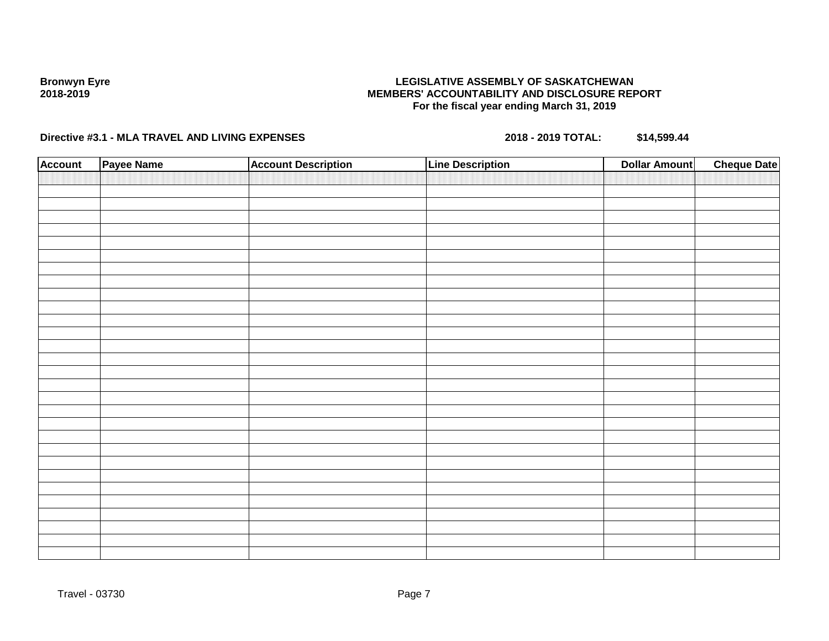### **LEGISLATIVE ASSEMBLY OF SASKATCHEWAN MEMBERS' ACCOUNTABILITY AND DISCLOSURE REPORT For the fiscal year ending March 31, 2019**

| <b>Account</b> | Payee Name | <b>Account Description</b> | <b>Line Description</b> | <b>Dollar Amount</b> | <b>Cheque Date</b> |
|----------------|------------|----------------------------|-------------------------|----------------------|--------------------|
|                |            |                            |                         |                      |                    |
|                |            |                            |                         |                      |                    |
|                |            |                            |                         |                      |                    |
|                |            |                            |                         |                      |                    |
|                |            |                            |                         |                      |                    |
|                |            |                            |                         |                      |                    |
|                |            |                            |                         |                      |                    |
|                |            |                            |                         |                      |                    |
|                |            |                            |                         |                      |                    |
|                |            |                            |                         |                      |                    |
|                |            |                            |                         |                      |                    |
|                |            |                            |                         |                      |                    |
|                |            |                            |                         |                      |                    |
|                |            |                            |                         |                      |                    |
|                |            |                            |                         |                      |                    |
|                |            |                            |                         |                      |                    |
|                |            |                            |                         |                      |                    |
|                |            |                            |                         |                      |                    |
|                |            |                            |                         |                      |                    |
|                |            |                            |                         |                      |                    |
|                |            |                            |                         |                      |                    |
|                |            |                            |                         |                      |                    |
|                |            |                            |                         |                      |                    |
|                |            |                            |                         |                      |                    |
|                |            |                            |                         |                      |                    |
|                |            |                            |                         |                      |                    |
|                |            |                            |                         |                      |                    |
|                |            |                            |                         |                      |                    |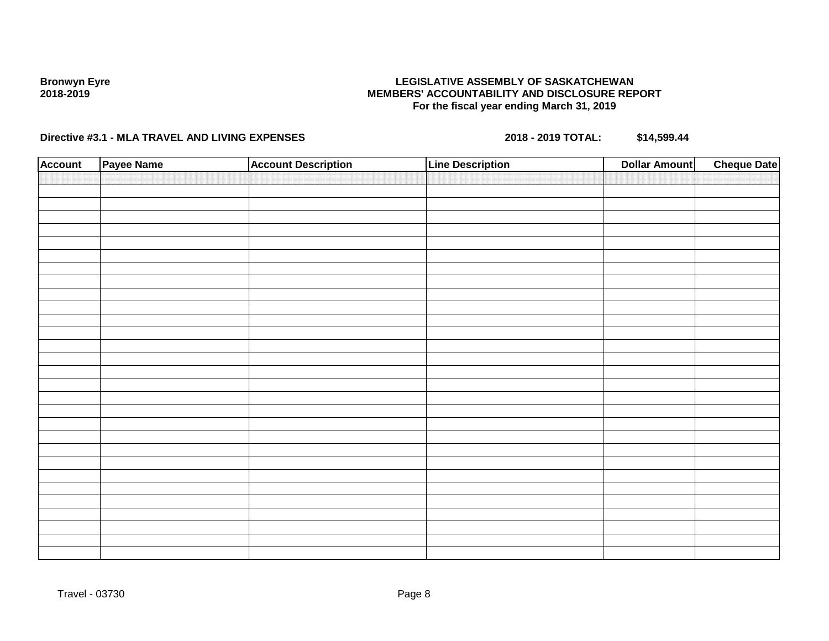### **LEGISLATIVE ASSEMBLY OF SASKATCHEWAN MEMBERS' ACCOUNTABILITY AND DISCLOSURE REPORT For the fiscal year ending March 31, 2019**

| <b>Account</b> | Payee Name | <b>Account Description</b> | <b>Line Description</b> | <b>Dollar Amount</b> | <b>Cheque Date</b> |
|----------------|------------|----------------------------|-------------------------|----------------------|--------------------|
|                |            |                            |                         |                      |                    |
|                |            |                            |                         |                      |                    |
|                |            |                            |                         |                      |                    |
|                |            |                            |                         |                      |                    |
|                |            |                            |                         |                      |                    |
|                |            |                            |                         |                      |                    |
|                |            |                            |                         |                      |                    |
|                |            |                            |                         |                      |                    |
|                |            |                            |                         |                      |                    |
|                |            |                            |                         |                      |                    |
|                |            |                            |                         |                      |                    |
|                |            |                            |                         |                      |                    |
|                |            |                            |                         |                      |                    |
|                |            |                            |                         |                      |                    |
|                |            |                            |                         |                      |                    |
|                |            |                            |                         |                      |                    |
|                |            |                            |                         |                      |                    |
|                |            |                            |                         |                      |                    |
|                |            |                            |                         |                      |                    |
|                |            |                            |                         |                      |                    |
|                |            |                            |                         |                      |                    |
|                |            |                            |                         |                      |                    |
|                |            |                            |                         |                      |                    |
|                |            |                            |                         |                      |                    |
|                |            |                            |                         |                      |                    |
|                |            |                            |                         |                      |                    |
|                |            |                            |                         |                      |                    |
|                |            |                            |                         |                      |                    |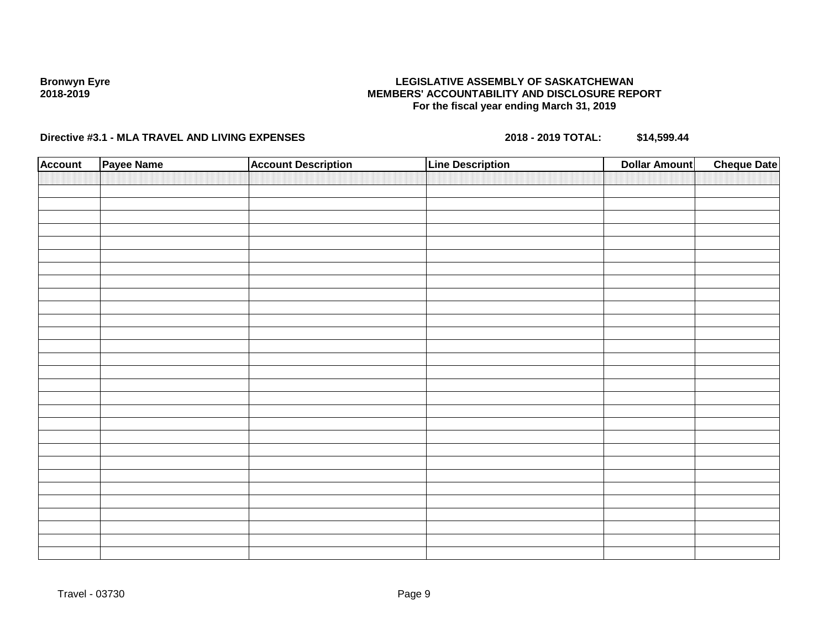### **LEGISLATIVE ASSEMBLY OF SASKATCHEWAN MEMBERS' ACCOUNTABILITY AND DISCLOSURE REPORT For the fiscal year ending March 31, 2019**

| <b>Account</b> | Payee Name | <b>Account Description</b> | <b>Line Description</b> | <b>Dollar Amount</b> | <b>Cheque Date</b> |
|----------------|------------|----------------------------|-------------------------|----------------------|--------------------|
|                |            |                            |                         |                      |                    |
|                |            |                            |                         |                      |                    |
|                |            |                            |                         |                      |                    |
|                |            |                            |                         |                      |                    |
|                |            |                            |                         |                      |                    |
|                |            |                            |                         |                      |                    |
|                |            |                            |                         |                      |                    |
|                |            |                            |                         |                      |                    |
|                |            |                            |                         |                      |                    |
|                |            |                            |                         |                      |                    |
|                |            |                            |                         |                      |                    |
|                |            |                            |                         |                      |                    |
|                |            |                            |                         |                      |                    |
|                |            |                            |                         |                      |                    |
|                |            |                            |                         |                      |                    |
|                |            |                            |                         |                      |                    |
|                |            |                            |                         |                      |                    |
|                |            |                            |                         |                      |                    |
|                |            |                            |                         |                      |                    |
|                |            |                            |                         |                      |                    |
|                |            |                            |                         |                      |                    |
|                |            |                            |                         |                      |                    |
|                |            |                            |                         |                      |                    |
|                |            |                            |                         |                      |                    |
|                |            |                            |                         |                      |                    |
|                |            |                            |                         |                      |                    |
|                |            |                            |                         |                      |                    |
|                |            |                            |                         |                      |                    |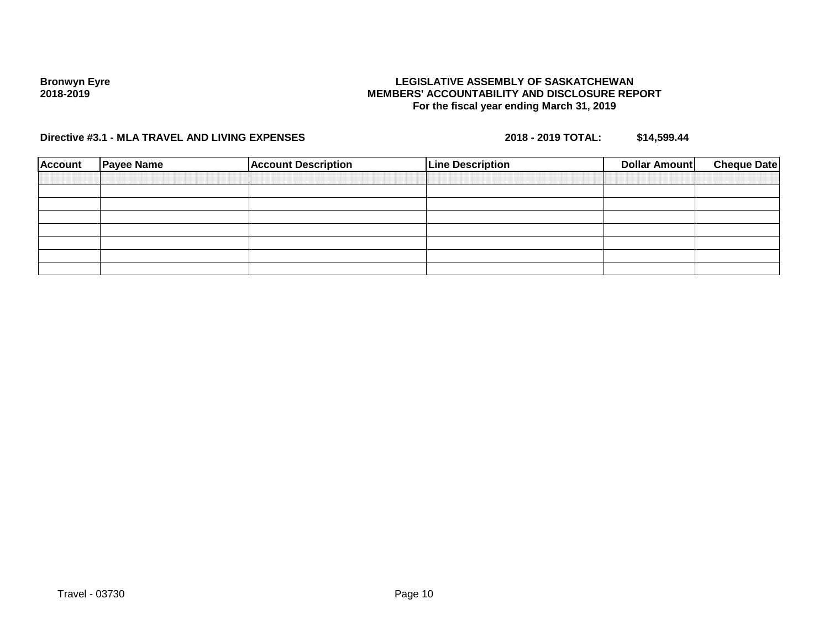### **LEGISLATIVE ASSEMBLY OF SASKATCHEWAN MEMBERS' ACCOUNTABILITY AND DISCLOSURE REPORT For the fiscal year ending March 31, 2019**

| <b>Account</b> | <b>Payee Name</b> | <b>Account Description</b> | <b>Line Description</b> | <b>Cheque Date</b><br><b>Dollar Amount</b> |
|----------------|-------------------|----------------------------|-------------------------|--------------------------------------------|
|                |                   |                            |                         |                                            |
|                |                   |                            |                         |                                            |
|                |                   |                            |                         |                                            |
|                |                   |                            |                         |                                            |
|                |                   |                            |                         |                                            |
|                |                   |                            |                         |                                            |
|                |                   |                            |                         |                                            |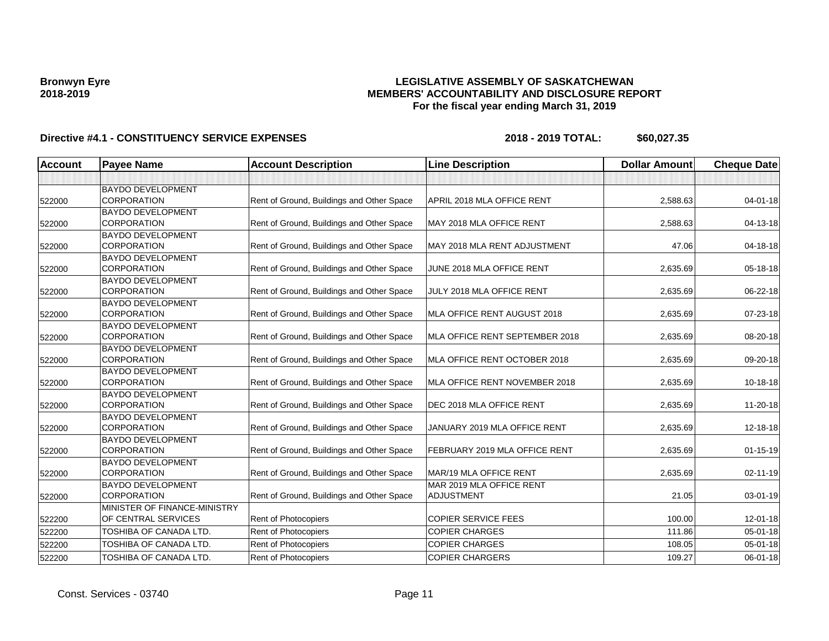### **LEGISLATIVE ASSEMBLY OF SASKATCHEWAN MEMBERS' ACCOUNTABILITY AND DISCLOSURE REPORT For the fiscal year ending March 31, 2019**

| <b>BAYDO DEVELOPMENT</b><br><b>CORPORATION</b><br>Rent of Ground, Buildings and Other Space<br>APRIL 2018 MLA OFFICE RENT<br>2,588.63<br>$04 - 01 - 18$<br>522000<br><b>BAYDO DEVELOPMENT</b><br><b>CORPORATION</b><br>Rent of Ground, Buildings and Other Space<br>MAY 2018 MLA OFFICE RENT<br>2,588.63<br>04-13-18<br><b>BAYDO DEVELOPMENT</b><br><b>CORPORATION</b><br>Rent of Ground, Buildings and Other Space<br>MAY 2018 MLA RENT ADJUSTMENT<br>04-18-18<br>47.06<br><b>BAYDO DEVELOPMENT</b><br>CORPORATION<br>Rent of Ground, Buildings and Other Space<br>JUNE 2018 MLA OFFICE RENT<br>2,635.69<br>05-18-18<br><b>BAYDO DEVELOPMENT</b><br><b>CORPORATION</b><br>Rent of Ground, Buildings and Other Space<br>JULY 2018 MLA OFFICE RENT<br>2,635.69<br>06-22-18<br>522000<br><b>BAYDO DEVELOPMENT</b><br><b>CORPORATION</b><br>Rent of Ground, Buildings and Other Space<br>MLA OFFICE RENT AUGUST 2018<br>2,635.69<br>07-23-18<br><b>BAYDO DEVELOPMENT</b><br><b>CORPORATION</b><br>Rent of Ground, Buildings and Other Space<br>MLA OFFICE RENT SEPTEMBER 2018<br>2,635.69<br>08-20-18<br><b>BAYDO DEVELOPMENT</b><br>Rent of Ground, Buildings and Other Space<br><b>CORPORATION</b><br>MLA OFFICE RENT OCTOBER 2018<br>09-20-18<br>2,635.69<br><b>BAYDO DEVELOPMENT</b><br><b>CORPORATION</b><br>Rent of Ground, Buildings and Other Space<br>MLA OFFICE RENT NOVEMBER 2018<br>2,635.69<br>10-18-18<br><b>BAYDO DEVELOPMENT</b><br>Rent of Ground, Buildings and Other Space<br><b>CORPORATION</b><br>DEC 2018 MLA OFFICE RENT<br>11-20-18<br>2,635.69<br><b>BAYDO DEVELOPMENT</b><br>CORPORATION<br>Rent of Ground, Buildings and Other Space<br>JANUARY 2019 MLA OFFICE RENT<br>2.635.69<br>522000<br><b>BAYDO DEVELOPMENT</b><br>Rent of Ground, Buildings and Other Space<br><b>CORPORATION</b><br>FEBRUARY 2019 MLA OFFICE RENT<br>2,635.69<br>522000<br><b>BAYDO DEVELOPMENT</b><br><b>CORPORATION</b><br>Rent of Ground, Buildings and Other Space<br>MAR/19 MLA OFFICE RENT<br>2,635.69<br>02-11-19<br><b>BAYDO DEVELOPMENT</b><br>MAR 2019 MLA OFFICE RENT<br><b>CORPORATION</b><br>Rent of Ground, Buildings and Other Space<br><b>ADJUSTMENT</b><br>21.05<br>03-01-19<br>MINISTER OF FINANCE-MINISTRY<br>OF CENTRAL SERVICES<br><b>COPIER SERVICE FEES</b><br>100.00<br>Rent of Photocopiers<br>$12 - 01 - 18$<br>522200<br>TOSHIBA OF CANADA LTD.<br>Rent of Photocopiers<br><b>COPIER CHARGES</b><br>111.86<br>05-01-18<br>522200<br>TOSHIBA OF CANADA LTD.<br>Rent of Photocopiers<br><b>COPIER CHARGES</b><br>108.05<br>05-01-18<br>522200<br>TOSHIBA OF CANADA LTD.<br><b>Rent of Photocopiers</b><br><b>COPIER CHARGERS</b><br>109.27<br>06-01-18<br>522200 | <b>Account</b> | <b>Payee Name</b> | <b>Account Description</b> | <b>Line Description</b> | <b>Dollar Amount</b> | <b>Cheque Date</b> |
|--------------------------------------------------------------------------------------------------------------------------------------------------------------------------------------------------------------------------------------------------------------------------------------------------------------------------------------------------------------------------------------------------------------------------------------------------------------------------------------------------------------------------------------------------------------------------------------------------------------------------------------------------------------------------------------------------------------------------------------------------------------------------------------------------------------------------------------------------------------------------------------------------------------------------------------------------------------------------------------------------------------------------------------------------------------------------------------------------------------------------------------------------------------------------------------------------------------------------------------------------------------------------------------------------------------------------------------------------------------------------------------------------------------------------------------------------------------------------------------------------------------------------------------------------------------------------------------------------------------------------------------------------------------------------------------------------------------------------------------------------------------------------------------------------------------------------------------------------------------------------------------------------------------------------------------------------------------------------------------------------------------------------------------------------------------------------------------------------------------------------------------------------------------------------------------------------------------------------------------------------------------------------------------------------------------------------------------------------------------------------------------------------------------------------------------------------------------------------------------------------------------------------------------------------------------------------------------------------------------------------------------------------------------------------------------------|----------------|-------------------|----------------------------|-------------------------|----------------------|--------------------|
|                                                                                                                                                                                                                                                                                                                                                                                                                                                                                                                                                                                                                                                                                                                                                                                                                                                                                                                                                                                                                                                                                                                                                                                                                                                                                                                                                                                                                                                                                                                                                                                                                                                                                                                                                                                                                                                                                                                                                                                                                                                                                                                                                                                                                                                                                                                                                                                                                                                                                                                                                                                                                                                                                            |                |                   |                            |                         |                      |                    |
|                                                                                                                                                                                                                                                                                                                                                                                                                                                                                                                                                                                                                                                                                                                                                                                                                                                                                                                                                                                                                                                                                                                                                                                                                                                                                                                                                                                                                                                                                                                                                                                                                                                                                                                                                                                                                                                                                                                                                                                                                                                                                                                                                                                                                                                                                                                                                                                                                                                                                                                                                                                                                                                                                            |                |                   |                            |                         |                      |                    |
|                                                                                                                                                                                                                                                                                                                                                                                                                                                                                                                                                                                                                                                                                                                                                                                                                                                                                                                                                                                                                                                                                                                                                                                                                                                                                                                                                                                                                                                                                                                                                                                                                                                                                                                                                                                                                                                                                                                                                                                                                                                                                                                                                                                                                                                                                                                                                                                                                                                                                                                                                                                                                                                                                            |                |                   |                            |                         |                      |                    |
|                                                                                                                                                                                                                                                                                                                                                                                                                                                                                                                                                                                                                                                                                                                                                                                                                                                                                                                                                                                                                                                                                                                                                                                                                                                                                                                                                                                                                                                                                                                                                                                                                                                                                                                                                                                                                                                                                                                                                                                                                                                                                                                                                                                                                                                                                                                                                                                                                                                                                                                                                                                                                                                                                            | 522000         |                   |                            |                         |                      |                    |
|                                                                                                                                                                                                                                                                                                                                                                                                                                                                                                                                                                                                                                                                                                                                                                                                                                                                                                                                                                                                                                                                                                                                                                                                                                                                                                                                                                                                                                                                                                                                                                                                                                                                                                                                                                                                                                                                                                                                                                                                                                                                                                                                                                                                                                                                                                                                                                                                                                                                                                                                                                                                                                                                                            |                |                   |                            |                         |                      |                    |
|                                                                                                                                                                                                                                                                                                                                                                                                                                                                                                                                                                                                                                                                                                                                                                                                                                                                                                                                                                                                                                                                                                                                                                                                                                                                                                                                                                                                                                                                                                                                                                                                                                                                                                                                                                                                                                                                                                                                                                                                                                                                                                                                                                                                                                                                                                                                                                                                                                                                                                                                                                                                                                                                                            | 522000         |                   |                            |                         |                      |                    |
|                                                                                                                                                                                                                                                                                                                                                                                                                                                                                                                                                                                                                                                                                                                                                                                                                                                                                                                                                                                                                                                                                                                                                                                                                                                                                                                                                                                                                                                                                                                                                                                                                                                                                                                                                                                                                                                                                                                                                                                                                                                                                                                                                                                                                                                                                                                                                                                                                                                                                                                                                                                                                                                                                            | 522000         |                   |                            |                         |                      |                    |
|                                                                                                                                                                                                                                                                                                                                                                                                                                                                                                                                                                                                                                                                                                                                                                                                                                                                                                                                                                                                                                                                                                                                                                                                                                                                                                                                                                                                                                                                                                                                                                                                                                                                                                                                                                                                                                                                                                                                                                                                                                                                                                                                                                                                                                                                                                                                                                                                                                                                                                                                                                                                                                                                                            |                |                   |                            |                         |                      |                    |
|                                                                                                                                                                                                                                                                                                                                                                                                                                                                                                                                                                                                                                                                                                                                                                                                                                                                                                                                                                                                                                                                                                                                                                                                                                                                                                                                                                                                                                                                                                                                                                                                                                                                                                                                                                                                                                                                                                                                                                                                                                                                                                                                                                                                                                                                                                                                                                                                                                                                                                                                                                                                                                                                                            |                |                   |                            |                         |                      |                    |
|                                                                                                                                                                                                                                                                                                                                                                                                                                                                                                                                                                                                                                                                                                                                                                                                                                                                                                                                                                                                                                                                                                                                                                                                                                                                                                                                                                                                                                                                                                                                                                                                                                                                                                                                                                                                                                                                                                                                                                                                                                                                                                                                                                                                                                                                                                                                                                                                                                                                                                                                                                                                                                                                                            | 522000         |                   |                            |                         |                      |                    |
|                                                                                                                                                                                                                                                                                                                                                                                                                                                                                                                                                                                                                                                                                                                                                                                                                                                                                                                                                                                                                                                                                                                                                                                                                                                                                                                                                                                                                                                                                                                                                                                                                                                                                                                                                                                                                                                                                                                                                                                                                                                                                                                                                                                                                                                                                                                                                                                                                                                                                                                                                                                                                                                                                            |                |                   |                            |                         |                      |                    |
|                                                                                                                                                                                                                                                                                                                                                                                                                                                                                                                                                                                                                                                                                                                                                                                                                                                                                                                                                                                                                                                                                                                                                                                                                                                                                                                                                                                                                                                                                                                                                                                                                                                                                                                                                                                                                                                                                                                                                                                                                                                                                                                                                                                                                                                                                                                                                                                                                                                                                                                                                                                                                                                                                            | 522000         |                   |                            |                         |                      |                    |
|                                                                                                                                                                                                                                                                                                                                                                                                                                                                                                                                                                                                                                                                                                                                                                                                                                                                                                                                                                                                                                                                                                                                                                                                                                                                                                                                                                                                                                                                                                                                                                                                                                                                                                                                                                                                                                                                                                                                                                                                                                                                                                                                                                                                                                                                                                                                                                                                                                                                                                                                                                                                                                                                                            | 522000         |                   |                            |                         |                      |                    |
|                                                                                                                                                                                                                                                                                                                                                                                                                                                                                                                                                                                                                                                                                                                                                                                                                                                                                                                                                                                                                                                                                                                                                                                                                                                                                                                                                                                                                                                                                                                                                                                                                                                                                                                                                                                                                                                                                                                                                                                                                                                                                                                                                                                                                                                                                                                                                                                                                                                                                                                                                                                                                                                                                            |                |                   |                            |                         |                      |                    |
|                                                                                                                                                                                                                                                                                                                                                                                                                                                                                                                                                                                                                                                                                                                                                                                                                                                                                                                                                                                                                                                                                                                                                                                                                                                                                                                                                                                                                                                                                                                                                                                                                                                                                                                                                                                                                                                                                                                                                                                                                                                                                                                                                                                                                                                                                                                                                                                                                                                                                                                                                                                                                                                                                            | 522000         |                   |                            |                         |                      |                    |
|                                                                                                                                                                                                                                                                                                                                                                                                                                                                                                                                                                                                                                                                                                                                                                                                                                                                                                                                                                                                                                                                                                                                                                                                                                                                                                                                                                                                                                                                                                                                                                                                                                                                                                                                                                                                                                                                                                                                                                                                                                                                                                                                                                                                                                                                                                                                                                                                                                                                                                                                                                                                                                                                                            | 522000         |                   |                            |                         |                      |                    |
|                                                                                                                                                                                                                                                                                                                                                                                                                                                                                                                                                                                                                                                                                                                                                                                                                                                                                                                                                                                                                                                                                                                                                                                                                                                                                                                                                                                                                                                                                                                                                                                                                                                                                                                                                                                                                                                                                                                                                                                                                                                                                                                                                                                                                                                                                                                                                                                                                                                                                                                                                                                                                                                                                            |                |                   |                            |                         |                      |                    |
|                                                                                                                                                                                                                                                                                                                                                                                                                                                                                                                                                                                                                                                                                                                                                                                                                                                                                                                                                                                                                                                                                                                                                                                                                                                                                                                                                                                                                                                                                                                                                                                                                                                                                                                                                                                                                                                                                                                                                                                                                                                                                                                                                                                                                                                                                                                                                                                                                                                                                                                                                                                                                                                                                            |                |                   |                            |                         |                      | 12-18-18           |
|                                                                                                                                                                                                                                                                                                                                                                                                                                                                                                                                                                                                                                                                                                                                                                                                                                                                                                                                                                                                                                                                                                                                                                                                                                                                                                                                                                                                                                                                                                                                                                                                                                                                                                                                                                                                                                                                                                                                                                                                                                                                                                                                                                                                                                                                                                                                                                                                                                                                                                                                                                                                                                                                                            |                |                   |                            |                         |                      | $01 - 15 - 19$     |
|                                                                                                                                                                                                                                                                                                                                                                                                                                                                                                                                                                                                                                                                                                                                                                                                                                                                                                                                                                                                                                                                                                                                                                                                                                                                                                                                                                                                                                                                                                                                                                                                                                                                                                                                                                                                                                                                                                                                                                                                                                                                                                                                                                                                                                                                                                                                                                                                                                                                                                                                                                                                                                                                                            |                |                   |                            |                         |                      |                    |
|                                                                                                                                                                                                                                                                                                                                                                                                                                                                                                                                                                                                                                                                                                                                                                                                                                                                                                                                                                                                                                                                                                                                                                                                                                                                                                                                                                                                                                                                                                                                                                                                                                                                                                                                                                                                                                                                                                                                                                                                                                                                                                                                                                                                                                                                                                                                                                                                                                                                                                                                                                                                                                                                                            | 522000         |                   |                            |                         |                      |                    |
|                                                                                                                                                                                                                                                                                                                                                                                                                                                                                                                                                                                                                                                                                                                                                                                                                                                                                                                                                                                                                                                                                                                                                                                                                                                                                                                                                                                                                                                                                                                                                                                                                                                                                                                                                                                                                                                                                                                                                                                                                                                                                                                                                                                                                                                                                                                                                                                                                                                                                                                                                                                                                                                                                            |                |                   |                            |                         |                      |                    |
|                                                                                                                                                                                                                                                                                                                                                                                                                                                                                                                                                                                                                                                                                                                                                                                                                                                                                                                                                                                                                                                                                                                                                                                                                                                                                                                                                                                                                                                                                                                                                                                                                                                                                                                                                                                                                                                                                                                                                                                                                                                                                                                                                                                                                                                                                                                                                                                                                                                                                                                                                                                                                                                                                            | 522000         |                   |                            |                         |                      |                    |
|                                                                                                                                                                                                                                                                                                                                                                                                                                                                                                                                                                                                                                                                                                                                                                                                                                                                                                                                                                                                                                                                                                                                                                                                                                                                                                                                                                                                                                                                                                                                                                                                                                                                                                                                                                                                                                                                                                                                                                                                                                                                                                                                                                                                                                                                                                                                                                                                                                                                                                                                                                                                                                                                                            |                |                   |                            |                         |                      |                    |
|                                                                                                                                                                                                                                                                                                                                                                                                                                                                                                                                                                                                                                                                                                                                                                                                                                                                                                                                                                                                                                                                                                                                                                                                                                                                                                                                                                                                                                                                                                                                                                                                                                                                                                                                                                                                                                                                                                                                                                                                                                                                                                                                                                                                                                                                                                                                                                                                                                                                                                                                                                                                                                                                                            |                |                   |                            |                         |                      |                    |
|                                                                                                                                                                                                                                                                                                                                                                                                                                                                                                                                                                                                                                                                                                                                                                                                                                                                                                                                                                                                                                                                                                                                                                                                                                                                                                                                                                                                                                                                                                                                                                                                                                                                                                                                                                                                                                                                                                                                                                                                                                                                                                                                                                                                                                                                                                                                                                                                                                                                                                                                                                                                                                                                                            |                |                   |                            |                         |                      |                    |
|                                                                                                                                                                                                                                                                                                                                                                                                                                                                                                                                                                                                                                                                                                                                                                                                                                                                                                                                                                                                                                                                                                                                                                                                                                                                                                                                                                                                                                                                                                                                                                                                                                                                                                                                                                                                                                                                                                                                                                                                                                                                                                                                                                                                                                                                                                                                                                                                                                                                                                                                                                                                                                                                                            |                |                   |                            |                         |                      |                    |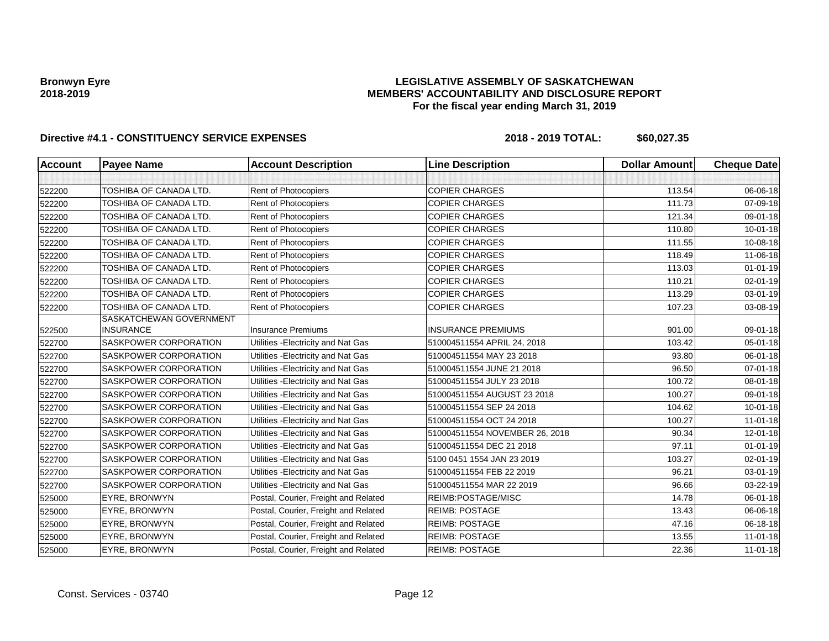### **LEGISLATIVE ASSEMBLY OF SASKATCHEWAN MEMBERS' ACCOUNTABILITY AND DISCLOSURE REPORT For the fiscal year ending March 31, 2019**

| <b>Account</b> | <b>Payee Name</b>                           | <b>Account Description</b>           | <b>Line Description</b>        | <b>Dollar Amount</b> | <b>Cheque Date</b> |
|----------------|---------------------------------------------|--------------------------------------|--------------------------------|----------------------|--------------------|
|                |                                             |                                      |                                |                      |                    |
| 522200         | TOSHIBA OF CANADA LTD.                      | Rent of Photocopiers                 | <b>COPIER CHARGES</b>          | 113.54               | 06-06-18           |
| 522200         | TOSHIBA OF CANADA LTD.                      | Rent of Photocopiers                 | <b>COPIER CHARGES</b>          | 111.73               | 07-09-18           |
| 522200         | TOSHIBA OF CANADA LTD.                      | Rent of Photocopiers                 | <b>COPIER CHARGES</b>          | 121.34               | 09-01-18           |
| 522200         | TOSHIBA OF CANADA LTD.                      | Rent of Photocopiers                 | <b>COPIER CHARGES</b>          | 110.80               | $10 - 01 - 18$     |
| 522200         | TOSHIBA OF CANADA LTD.                      | Rent of Photocopiers                 | <b>COPIER CHARGES</b>          | 111.55               | 10-08-18           |
| 522200         | TOSHIBA OF CANADA LTD.                      | Rent of Photocopiers                 | <b>COPIER CHARGES</b>          | 118.49               | 11-06-18           |
| 522200         | TOSHIBA OF CANADA LTD.                      | Rent of Photocopiers                 | <b>COPIER CHARGES</b>          | 113.03               | $01 - 01 - 19$     |
| 522200         | TOSHIBA OF CANADA LTD.                      | <b>Rent of Photocopiers</b>          | <b>COPIER CHARGES</b>          | 110.21               | 02-01-19           |
| 522200         | TOSHIBA OF CANADA LTD.                      | Rent of Photocopiers                 | <b>COPIER CHARGES</b>          | 113.29               | 03-01-19           |
| 522200         | TOSHIBA OF CANADA LTD.                      | Rent of Photocopiers                 | <b>COPIER CHARGES</b>          | 107.23               | 03-08-19           |
| 522500         | SASKATCHEWAN GOVERNMENT<br><b>INSURANCE</b> | <b>Insurance Premiums</b>            | <b>INSURANCE PREMIUMS</b>      | 901.00               | 09-01-18           |
| 522700         | SASKPOWER CORPORATION                       | Utilities - Electricity and Nat Gas  | 510004511554 APRIL 24, 2018    | 103.42               | 05-01-18           |
| 522700         | SASKPOWER CORPORATION                       | Utilities - Electricity and Nat Gas  | 510004511554 MAY 23 2018       | 93.80                | 06-01-18           |
| 522700         | <b>SASKPOWER CORPORATION</b>                | Utilities - Electricity and Nat Gas  | 510004511554 JUNE 21 2018      | 96.50                | $07 - 01 - 18$     |
| 522700         | SASKPOWER CORPORATION                       | Utilities - Electricity and Nat Gas  | 510004511554 JULY 23 2018      | 100.72               | 08-01-18           |
| 522700         | SASKPOWER CORPORATION                       | Utilities - Electricity and Nat Gas  | 510004511554 AUGUST 23 2018    | 100.27               | 09-01-18           |
| 522700         | SASKPOWER CORPORATION                       | Utilities - Electricity and Nat Gas  | 510004511554 SEP 24 2018       | 104.62               | $10 - 01 - 18$     |
| 522700         | SASKPOWER CORPORATION                       | Utilities - Electricity and Nat Gas  | 510004511554 OCT 24 2018       | 100.27               | $11-01-18$         |
| 522700         | <b>SASKPOWER CORPORATION</b>                | Utilities - Electricity and Nat Gas  | 510004511554 NOVEMBER 26, 2018 | 90.34                | 12-01-18           |
| 522700         | SASKPOWER CORPORATION                       | Utilities - Electricity and Nat Gas  | 510004511554 DEC 21 2018       | 97.11                | $01 - 01 - 19$     |
| 522700         | <b>SASKPOWER CORPORATION</b>                | Utilities - Electricity and Nat Gas  | 5100 0451 1554 JAN 23 2019     | 103.27               | $02 - 01 - 19$     |
| 522700         | SASKPOWER CORPORATION                       | Utilities - Electricity and Nat Gas  | 510004511554 FEB 22 2019       | 96.21                | 03-01-19           |
| 522700         | SASKPOWER CORPORATION                       | Utilities - Electricity and Nat Gas  | 510004511554 MAR 22 2019       | 96.66                | 03-22-19           |
| 525000         | EYRE, BRONWYN                               | Postal, Courier, Freight and Related | REIMB:POSTAGE/MISC             | 14.78                | 06-01-18           |
| 525000         | EYRE, BRONWYN                               | Postal, Courier, Freight and Related | <b>REIMB: POSTAGE</b>          | 13.43                | 06-06-18           |
| 525000         | EYRE, BRONWYN                               | Postal, Courier, Freight and Related | <b>REIMB: POSTAGE</b>          | 47.16                | 06-18-18           |
| 525000         | EYRE, BRONWYN                               | Postal, Courier, Freight and Related | <b>REIMB: POSTAGE</b>          | 13.55                | $11 - 01 - 18$     |
| 525000         | EYRE, BRONWYN                               | Postal, Courier, Freight and Related | <b>REIMB: POSTAGE</b>          | 22.36                | $11-01-18$         |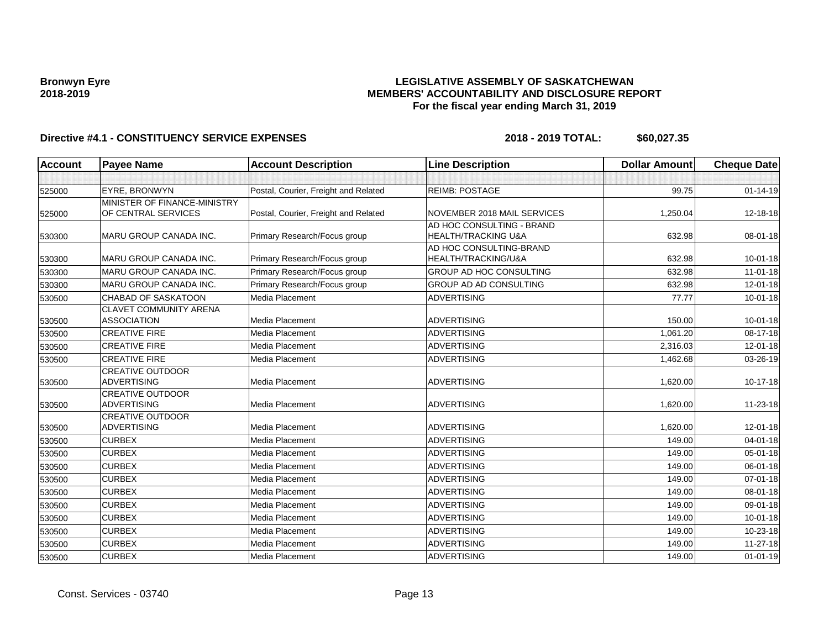### **LEGISLATIVE ASSEMBLY OF SASKATCHEWAN MEMBERS' ACCOUNTABILITY AND DISCLOSURE REPORT For the fiscal year ending March 31, 2019**

| Account | <b>Payee Name</b>             | <b>Account Description</b>           | <b>Line Description</b>        | <b>Dollar Amount</b> | <b>Cheque Date</b> |
|---------|-------------------------------|--------------------------------------|--------------------------------|----------------------|--------------------|
|         |                               |                                      |                                |                      |                    |
| 525000  | EYRE, BRONWYN                 | Postal, Courier, Freight and Related | <b>REIMB: POSTAGE</b>          | 99.75                | $01 - 14 - 19$     |
|         | MINISTER OF FINANCE-MINISTRY  |                                      |                                |                      |                    |
| 525000  | OF CENTRAL SERVICES           | Postal, Courier, Freight and Related | NOVEMBER 2018 MAIL SERVICES    | 1,250.04             | 12-18-18           |
|         |                               |                                      | AD HOC CONSULTING - BRAND      |                      |                    |
| 530300  | <b>MARU GROUP CANADA INC.</b> | Primary Research/Focus group         | <b>HEALTH/TRACKING U&amp;A</b> | 632.98               | 08-01-18           |
|         |                               |                                      | AD HOC CONSULTING-BRAND        |                      |                    |
| 530300  | <b>MARU GROUP CANADA INC.</b> | Primary Research/Focus group         | HEALTH/TRACKING/U&A            | 632.98               | $10 - 01 - 18$     |
| 530300  | MARU GROUP CANADA INC.        | Primary Research/Focus group         | GROUP AD HOC CONSULTING        | 632.98               | $11-01-18$         |
| 530300  | MARU GROUP CANADA INC.        | Primary Research/Focus group         | <b>GROUP AD AD CONSULTING</b>  | 632.98               | $12 - 01 - 18$     |
| 530500  | <b>CHABAD OF SASKATOON</b>    | Media Placement                      | <b>ADVERTISING</b>             | 77.77                | $10 - 01 - 18$     |
|         | <b>CLAVET COMMUNITY ARENA</b> |                                      |                                |                      |                    |
| 530500  | <b>ASSOCIATION</b>            | Media Placement                      | <b>ADVERTISING</b>             | 150.00               | $10 - 01 - 18$     |
| 530500  | <b>CREATIVE FIRE</b>          | Media Placement                      | <b>ADVERTISING</b>             | 1,061.20             | 08-17-18           |
| 530500  | <b>CREATIVE FIRE</b>          | <b>Media Placement</b>               | <b>ADVERTISING</b>             | 2,316.03             | $12 - 01 - 18$     |
| 530500  | <b>CREATIVE FIRE</b>          | Media Placement                      | <b>ADVERTISING</b>             | 1,462.68             | 03-26-19           |
|         | <b>CREATIVE OUTDOOR</b>       |                                      |                                |                      |                    |
| 530500  | <b>ADVERTISING</b>            | <b>Media Placement</b>               | <b>ADVERTISING</b>             | 1,620.00             | $10-17-18$         |
|         | <b>CREATIVE OUTDOOR</b>       |                                      |                                |                      |                    |
| 530500  | <b>ADVERTISING</b>            | <b>Media Placement</b>               | <b>ADVERTISING</b>             | 1,620.00             | 11-23-18           |
|         | <b>CREATIVE OUTDOOR</b>       |                                      |                                |                      |                    |
| 530500  | <b>ADVERTISING</b>            | Media Placement                      | <b>ADVERTISING</b>             | 1,620.00             | 12-01-18           |
| 530500  | <b>CURBEX</b>                 | Media Placement                      | <b>ADVERTISING</b>             | 149.00               | $04 - 01 - 18$     |
| 530500  | <b>CURBEX</b>                 | <b>Media Placement</b>               | <b>ADVERTISING</b>             | 149.00               | $05 - 01 - 18$     |
| 530500  | <b>CURBEX</b>                 | <b>Media Placement</b>               | <b>ADVERTISING</b>             | 149.00               | 06-01-18           |
| 530500  | <b>CURBEX</b>                 | <b>Media Placement</b>               | <b>ADVERTISING</b>             | 149.00               | 07-01-18           |
| 530500  | <b>CURBEX</b>                 | Media Placement                      | <b>ADVERTISING</b>             | 149.00               | 08-01-18           |
| 530500  | <b>CURBEX</b>                 | <b>Media Placement</b>               | <b>ADVERTISING</b>             | 149.00               | 09-01-18           |
| 530500  | <b>CURBEX</b>                 | <b>Media Placement</b>               | <b>ADVERTISING</b>             | 149.00               | $10 - 01 - 18$     |
| 530500  | <b>CURBEX</b>                 | Media Placement                      | ADVERTISING                    | 149.00               | $10 - 23 - 18$     |
| 530500  | <b>CURBEX</b>                 | <b>Media Placement</b>               | <b>ADVERTISING</b>             | 149.00               | $11 - 27 - 18$     |
| 530500  | <b>CURBEX</b>                 | <b>Media Placement</b>               | <b>ADVERTISING</b>             | 149.00               | $01 - 01 - 19$     |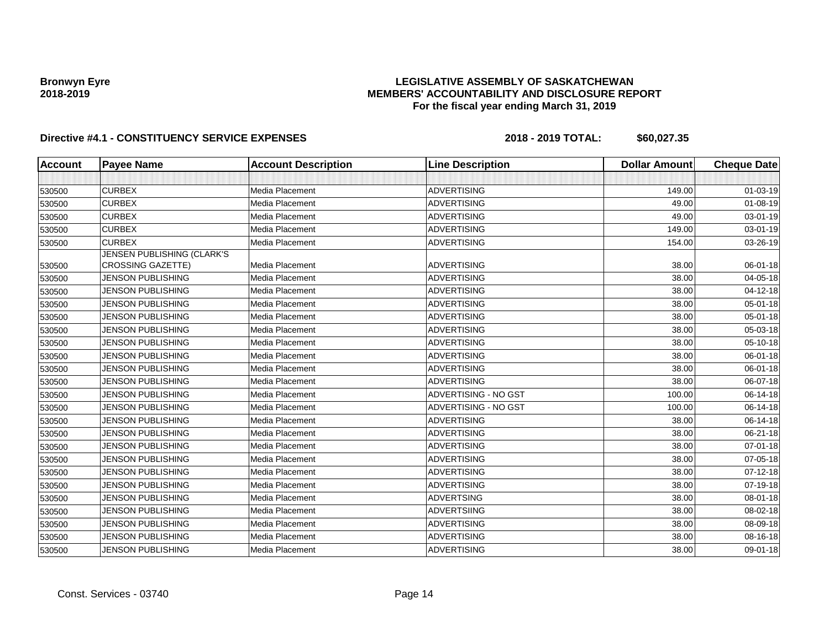### **LEGISLATIVE ASSEMBLY OF SASKATCHEWAN MEMBERS' ACCOUNTABILITY AND DISCLOSURE REPORT For the fiscal year ending March 31, 2019**

| <b>Account</b> | <b>Payee Name</b>          | <b>Account Description</b> | <b>Line Description</b>     | <b>Dollar Amount</b> | <b>Cheque Date</b> |
|----------------|----------------------------|----------------------------|-----------------------------|----------------------|--------------------|
|                |                            |                            |                             |                      |                    |
| 530500         | <b>CURBEX</b>              | Media Placement            | <b>ADVERTISING</b>          | 149.00               | $01 - 03 - 19$     |
| 530500         | <b>CURBEX</b>              | Media Placement            | <b>ADVERTISING</b>          | 49.00                | 01-08-19           |
| 530500         | <b>CURBEX</b>              | Media Placement            | <b>ADVERTISING</b>          | 49.00                | 03-01-19           |
| 530500         | <b>CURBEX</b>              | Media Placement            | <b>ADVERTISING</b>          | 149.00               | 03-01-19           |
| 530500         | <b>CURBEX</b>              | Media Placement            | <b>ADVERTISING</b>          | 154.00               | 03-26-19           |
|                | JENSEN PUBLISHING (CLARK'S |                            |                             |                      |                    |
| 530500         | <b>CROSSING GAZETTE)</b>   | Media Placement            | <b>ADVERTISING</b>          | 38.00                | 06-01-18           |
| 530500         | <b>JENSON PUBLISHING</b>   | Media Placement            | <b>ADVERTISING</b>          | 38.00                | 04-05-18           |
| 530500         | <b>JENSON PUBLISHING</b>   | Media Placement            | <b>ADVERTISING</b>          | 38.00                | 04-12-18           |
| 530500         | JENSON PUBLISHING          | Media Placement            | <b>ADVERTISING</b>          | 38.00                | 05-01-18           |
| 530500         | <b>JENSON PUBLISHING</b>   | <b>Media Placement</b>     | <b>ADVERTISING</b>          | 38.00                | 05-01-18           |
| 530500         | <b>JENSON PUBLISHING</b>   | <b>Media Placement</b>     | <b>ADVERTISING</b>          | 38.00                | 05-03-18           |
| 530500         | JENSON PUBLISHING          | Media Placement            | <b>ADVERTISING</b>          | 38.00                | 05-10-18           |
| 530500         | <b>JENSON PUBLISHING</b>   | Media Placement            | <b>ADVERTISING</b>          | 38.00                | 06-01-18           |
| 530500         | JENSON PUBLISHING          | Media Placement            | <b>ADVERTISING</b>          | 38.00                | 06-01-18           |
| 530500         | <b>JENSON PUBLISHING</b>   | <b>Media Placement</b>     | <b>ADVERTISING</b>          | 38.00                | 06-07-18           |
| 530500         | <b>JENSON PUBLISHING</b>   | Media Placement            | <b>ADVERTISING - NO GST</b> | 100.00               | 06-14-18           |
| 530500         | <b>JENSON PUBLISHING</b>   | Media Placement            | ADVERTISING - NO GST        | 100.00               | 06-14-18           |
| 530500         | <b>JENSON PUBLISHING</b>   | Media Placement            | <b>ADVERTISING</b>          | 38.00                | 06-14-18           |
| 530500         | JENSON PUBLISHING          | Media Placement            | <b>ADVERTISING</b>          | 38.00                | 06-21-18           |
| 530500         | <b>JENSON PUBLISHING</b>   | <b>Media Placement</b>     | <b>ADVERTISING</b>          | 38.00                | 07-01-18           |
| 530500         | <b>JENSON PUBLISHING</b>   | Media Placement            | <b>ADVERTISING</b>          | 38.00                | 07-05-18           |
| 530500         | <b>JENSON PUBLISHING</b>   | Media Placement            | <b>ADVERTISING</b>          | 38.00                | $07 - 12 - 18$     |
| 530500         | <b>JENSON PUBLISHING</b>   | Media Placement            | <b>ADVERTISING</b>          | 38.00                | 07-19-18           |
| 530500         | JENSON PUBLISHING          | Media Placement            | <b>ADVERTSING</b>           | 38.00                | 08-01-18           |
| 530500         | <b>JENSON PUBLISHING</b>   | <b>Media Placement</b>     | <b>ADVERTSIING</b>          | 38.00                | 08-02-18           |
| 530500         | <b>JENSON PUBLISHING</b>   | Media Placement            | <b>ADVERTISING</b>          | 38.00                | 08-09-18           |
| 530500         | <b>JENSON PUBLISHING</b>   | Media Placement            | <b>ADVERTISING</b>          | 38.00                | 08-16-18           |
| 530500         | JENSON PUBLISHING          | Media Placement            | <b>ADVERTISING</b>          | 38.00                | 09-01-18           |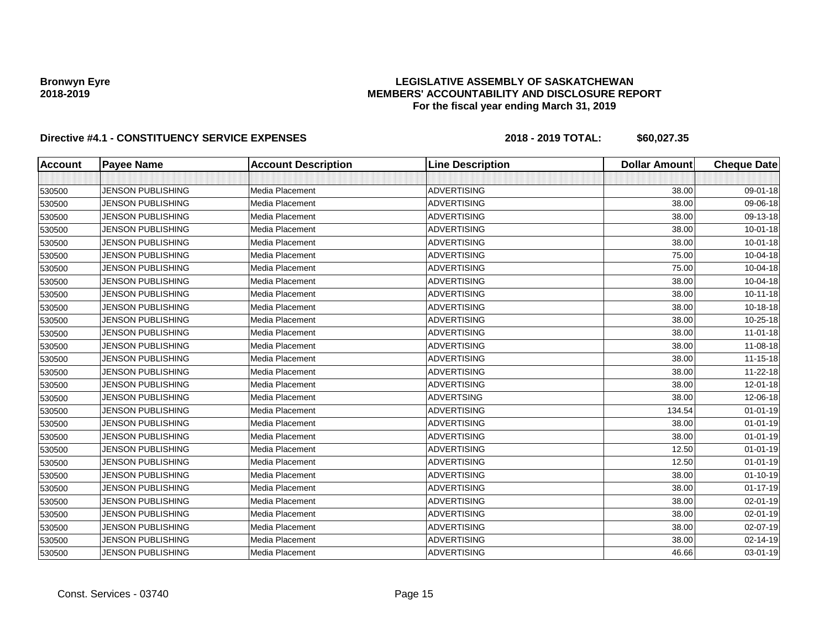### **LEGISLATIVE ASSEMBLY OF SASKATCHEWAN MEMBERS' ACCOUNTABILITY AND DISCLOSURE REPORT For the fiscal year ending March 31, 2019**

| <b>Account</b> | <b>Payee Name</b>        | <b>Account Description</b> | <b>Line Description</b> | <b>Dollar Amount</b> | <b>Cheque Date</b> |
|----------------|--------------------------|----------------------------|-------------------------|----------------------|--------------------|
|                |                          |                            |                         |                      |                    |
| 530500         | <b>JENSON PUBLISHING</b> | Media Placement            | <b>ADVERTISING</b>      | 38.00                | 09-01-18           |
| 530500         | <b>JENSON PUBLISHING</b> | Media Placement            | <b>ADVERTISING</b>      | 38.00                | 09-06-18           |
| 530500         | <b>JENSON PUBLISHING</b> | Media Placement            | <b>ADVERTISING</b>      | 38.00                | 09-13-18           |
| 530500         | <b>JENSON PUBLISHING</b> | Media Placement            | <b>ADVERTISING</b>      | 38.00                | $10 - 01 - 18$     |
| 530500         | <b>JENSON PUBLISHING</b> | Media Placement            | <b>ADVERTISING</b>      | 38.00                | $10 - 01 - 18$     |
| 530500         | <b>JENSON PUBLISHING</b> | Media Placement            | <b>ADVERTISING</b>      | 75.00                | 10-04-18           |
| 530500         | <b>JENSON PUBLISHING</b> | Media Placement            | <b>ADVERTISING</b>      | 75.00                | 10-04-18           |
| 530500         | <b>JENSON PUBLISHING</b> | Media Placement            | <b>ADVERTISING</b>      | 38.00                | 10-04-18           |
| 530500         | <b>JENSON PUBLISHING</b> | Media Placement            | <b>ADVERTISING</b>      | 38.00                | $10 - 11 - 18$     |
| 530500         | <b>JENSON PUBLISHING</b> | Media Placement            | <b>ADVERTISING</b>      | 38.00                | 10-18-18           |
| 530500         | <b>JENSON PUBLISHING</b> | Media Placement            | <b>ADVERTISING</b>      | 38.00                | 10-25-18           |
| 530500         | <b>JENSON PUBLISHING</b> | Media Placement            | <b>ADVERTISING</b>      | 38.00                | $11-01-18$         |
| 530500         | <b>JENSON PUBLISHING</b> | Media Placement            | <b>ADVERTISING</b>      | 38.00                | 11-08-18           |
| 530500         | <b>JENSON PUBLISHING</b> | Media Placement            | <b>ADVERTISING</b>      | 38.00                | $11 - 15 - 18$     |
| 530500         | <b>JENSON PUBLISHING</b> | Media Placement            | <b>ADVERTISING</b>      | 38.00                | 11-22-18           |
| 530500         | <b>JENSON PUBLISHING</b> | Media Placement            | <b>ADVERTISING</b>      | 38.00                | 12-01-18           |
| 530500         | <b>JENSON PUBLISHING</b> | Media Placement            | <b>ADVERTSING</b>       | 38.00                | 12-06-18           |
| 530500         | <b>JENSON PUBLISHING</b> | Media Placement            | <b>ADVERTISING</b>      | 134.54               | $01 - 01 - 19$     |
| 530500         | <b>JENSON PUBLISHING</b> | Media Placement            | <b>ADVERTISING</b>      | 38.00                | $01 - 01 - 19$     |
| 530500         | <b>JENSON PUBLISHING</b> | Media Placement            | <b>ADVERTISING</b>      | 38.00                | $01 - 01 - 19$     |
| 530500         | <b>JENSON PUBLISHING</b> | Media Placement            | <b>ADVERTISING</b>      | 12.50                | $01 - 01 - 19$     |
| 530500         | <b>JENSON PUBLISHING</b> | Media Placement            | ADVERTISING             | 12.50                | $01 - 01 - 19$     |
| 530500         | <b>JENSON PUBLISHING</b> | Media Placement            | <b>ADVERTISING</b>      | 38.00                | $01 - 10 - 19$     |
| 530500         | <b>JENSON PUBLISHING</b> | Media Placement            | <b>ADVERTISING</b>      | 38.00                | $01 - 17 - 19$     |
| 530500         | <b>JENSON PUBLISHING</b> | Media Placement            | <b>ADVERTISING</b>      | 38.00                | 02-01-19           |
| 530500         | <b>JENSON PUBLISHING</b> | Media Placement            | <b>ADVERTISING</b>      | 38.00                | 02-01-19           |
| 530500         | <b>JENSON PUBLISHING</b> | Media Placement            | <b>ADVERTISING</b>      | 38.00                | 02-07-19           |
| 530500         | <b>JENSON PUBLISHING</b> | Media Placement            | <b>ADVERTISING</b>      | 38.00                | 02-14-19           |
| 530500         | <b>JENSON PUBLISHING</b> | Media Placement            | <b>ADVERTISING</b>      | 46.66                | 03-01-19           |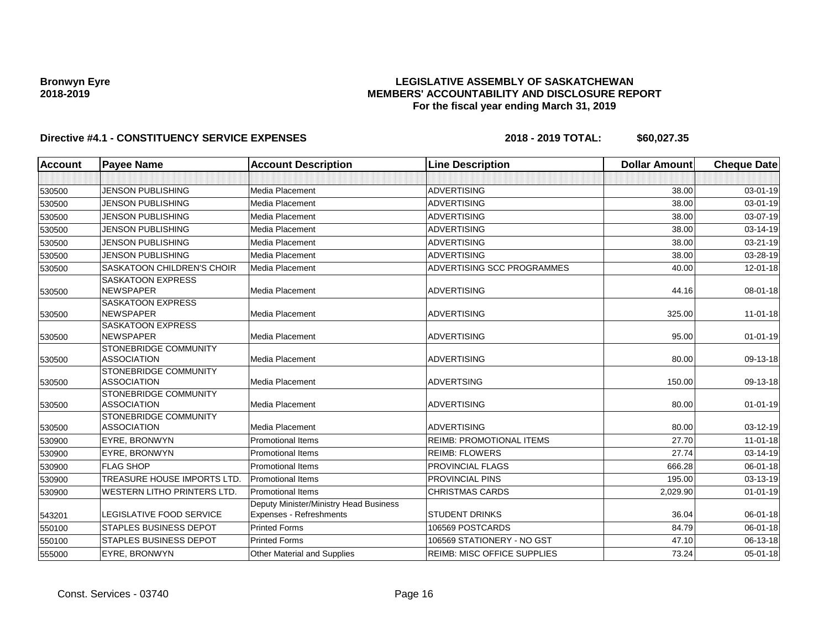### **LEGISLATIVE ASSEMBLY OF SASKATCHEWAN MEMBERS' ACCOUNTABILITY AND DISCLOSURE REPORT For the fiscal year ending March 31, 2019**

| <b>Account</b> | <b>Payee Name</b>                                  | <b>Account Description</b>                                        | <b>Line Description</b>            | <b>Dollar Amount</b> | <b>Cheque Date</b> |
|----------------|----------------------------------------------------|-------------------------------------------------------------------|------------------------------------|----------------------|--------------------|
|                |                                                    |                                                                   |                                    |                      |                    |
| 530500         | <b>JENSON PUBLISHING</b>                           | Media Placement                                                   | <b>ADVERTISING</b>                 | 38.00                | 03-01-19           |
| 530500         | <b>JENSON PUBLISHING</b>                           | Media Placement                                                   | <b>ADVERTISING</b>                 | 38.00                | 03-01-19           |
| 530500         | <b>JENSON PUBLISHING</b>                           | Media Placement                                                   | <b>ADVERTISING</b>                 | 38.00                | 03-07-19           |
| 530500         | <b>JENSON PUBLISHING</b>                           | Media Placement                                                   | <b>ADVERTISING</b>                 | 38.00                | 03-14-19           |
| 530500         | <b>JENSON PUBLISHING</b>                           | Media Placement                                                   | <b>ADVERTISING</b>                 | 38.00                | 03-21-19           |
| 530500         | <b>JENSON PUBLISHING</b>                           | Media Placement                                                   | <b>ADVERTISING</b>                 | 38.00                | 03-28-19           |
| 530500         | <b>SASKATOON CHILDREN'S CHOIR</b>                  | Media Placement                                                   | ADVERTISING SCC PROGRAMMES         | 40.00                | 12-01-18           |
| 530500         | <b>SASKATOON EXPRESS</b><br><b>NEWSPAPER</b>       | Media Placement                                                   | <b>ADVERTISING</b>                 | 44.16                | 08-01-18           |
| 530500         | <b>SASKATOON EXPRESS</b><br><b>NEWSPAPER</b>       | Media Placement                                                   | <b>ADVERTISING</b>                 | 325.00               | $11-01-18$         |
| 530500         | <b>SASKATOON EXPRESS</b><br><b>NEWSPAPER</b>       | Media Placement                                                   | <b>ADVERTISING</b>                 | 95.00                | $01-01-19$         |
| 530500         | STONEBRIDGE COMMUNITY<br><b>ASSOCIATION</b>        | Media Placement                                                   | <b>ADVERTISING</b>                 | 80.00                | 09-13-18           |
| 530500         | STONEBRIDGE COMMUNITY<br><b>ASSOCIATION</b>        | Media Placement                                                   | <b>ADVERTSING</b>                  | 150.00               | 09-13-18           |
| 530500         | <b>STONEBRIDGE COMMUNITY</b><br><b>ASSOCIATION</b> | Media Placement                                                   | <b>ADVERTISING</b>                 | 80.00                | $01 - 01 - 19$     |
| 530500         | <b>STONEBRIDGE COMMUNITY</b><br><b>ASSOCIATION</b> | Media Placement                                                   | <b>ADVERTISING</b>                 | 80.00                | 03-12-19           |
| 530900         | EYRE, BRONWYN                                      | <b>Promotional Items</b>                                          | <b>REIMB: PROMOTIONAL ITEMS</b>    | 27.70                | $11 - 01 - 18$     |
| 530900         | EYRE, BRONWYN                                      | <b>Promotional Items</b>                                          | <b>REIMB: FLOWERS</b>              | 27.74                | 03-14-19           |
| 530900         | <b>FLAG SHOP</b>                                   | <b>Promotional Items</b>                                          | PROVINCIAL FLAGS                   | 666.28               | 06-01-18           |
| 530900         | TREASURE HOUSE IMPORTS LTD.                        | <b>Promotional Items</b>                                          | PROVINCIAL PINS                    | 195.00               | 03-13-19           |
| 530900         | <b>WESTERN LITHO PRINTERS LTD.</b>                 | <b>Promotional Items</b>                                          | <b>CHRISTMAS CARDS</b>             | 2,029.90             | $01 - 01 - 19$     |
| 543201         | LEGISLATIVE FOOD SERVICE                           | Deputy Minister/Ministry Head Business<br>Expenses - Refreshments | <b>STUDENT DRINKS</b>              | 36.04                | 06-01-18           |
| 550100         | <b>STAPLES BUSINESS DEPOT</b>                      | <b>Printed Forms</b>                                              | 106569 POSTCARDS                   | 84.79                | 06-01-18           |
| 550100         | <b>STAPLES BUSINESS DEPOT</b>                      | <b>Printed Forms</b>                                              | 106569 STATIONERY - NO GST         | 47.10                | 06-13-18           |
| 555000         | EYRE, BRONWYN                                      | <b>Other Material and Supplies</b>                                | <b>REIMB: MISC OFFICE SUPPLIES</b> | 73.24                | $05 - 01 - 18$     |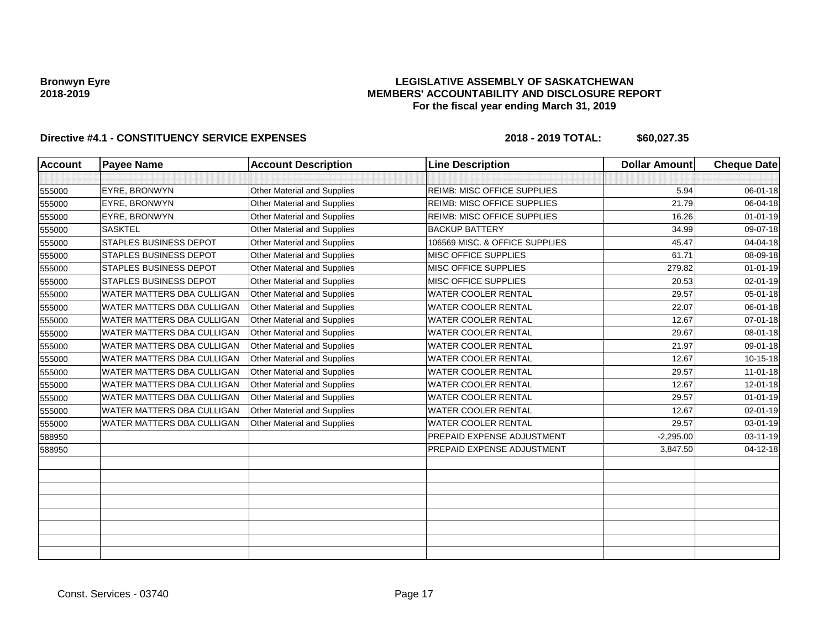### **LEGISLATIVE ASSEMBLY OF SASKATCHEWAN MEMBERS' ACCOUNTABILITY AND DISCLOSURE REPORT For the fiscal year ending March 31, 2019**

| <b>Account</b> | <b>Payee Name</b>                 | <b>Account Description</b>         | <b>Line Description</b>            | <b>Dollar Amount</b> | <b>Cheque Date</b> |
|----------------|-----------------------------------|------------------------------------|------------------------------------|----------------------|--------------------|
|                |                                   |                                    |                                    |                      |                    |
| 555000         | <b>EYRE, BRONWYN</b>              | Other Material and Supplies        | <b>REIMB: MISC OFFICE SUPPLIES</b> | 5.94                 | 06-01-18           |
| 555000         | EYRE, BRONWYN                     | Other Material and Supplies        | <b>REIMB: MISC OFFICE SUPPLIES</b> | 21.79                | 06-04-18           |
| 555000         | EYRE, BRONWYN                     | Other Material and Supplies        | REIMB: MISC OFFICE SUPPLIES        | 16.26                | $01 - 01 - 19$     |
| 555000         | <b>SASKTEL</b>                    | Other Material and Supplies        | <b>BACKUP BATTERY</b>              | 34.99                | 09-07-18           |
| 555000         | <b>STAPLES BUSINESS DEPOT</b>     | Other Material and Supplies        | 106569 MISC. & OFFICE SUPPLIES     | 45.47                | 04-04-18           |
| 555000         | <b>STAPLES BUSINESS DEPOT</b>     | Other Material and Supplies        | MISC OFFICE SUPPLIES               | 61.71                | 08-09-18           |
| 555000         | STAPLES BUSINESS DEPOT            | Other Material and Supplies        | MISC OFFICE SUPPLIES               | 279.82               | $01 - 01 - 19$     |
| 555000         | <b>STAPLES BUSINESS DEPOT</b>     | Other Material and Supplies        | MISC OFFICE SUPPLIES               | 20.53                | 02-01-19           |
| 555000         | WATER MATTERS DBA CULLIGAN        | <b>Other Material and Supplies</b> | <b>WATER COOLER RENTAL</b>         | 29.57                | 05-01-18           |
| 555000         | WATER MATTERS DBA CULLIGAN        | Other Material and Supplies        | WATER COOLER RENTAL                | 22.07                | 06-01-18           |
| 555000         | WATER MATTERS DBA CULLIGAN        | Other Material and Supplies        | WATER COOLER RENTAL                | 12.67                | 07-01-18           |
| 555000         | WATER MATTERS DBA CULLIGAN        | Other Material and Supplies        | WATER COOLER RENTAL                | 29.67                | 08-01-18           |
| 555000         | WATER MATTERS DBA CULLIGAN        | <b>Other Material and Supplies</b> | WATER COOLER RENTAL                | 21.97                | 09-01-18           |
| 555000         | <b>WATER MATTERS DBA CULLIGAN</b> | Other Material and Supplies        | <b>WATER COOLER RENTAL</b>         | 12.67                | 10-15-18           |
| 555000         | WATER MATTERS DBA CULLIGAN        | Other Material and Supplies        | WATER COOLER RENTAL                | 29.57                | $11-01-18$         |
| 555000         | WATER MATTERS DBA CULLIGAN        | Other Material and Supplies        | WATER COOLER RENTAL                | 12.67                | 12-01-18           |
| 555000         | WATER MATTERS DBA CULLIGAN        | <b>Other Material and Supplies</b> | <b>WATER COOLER RENTAL</b>         | 29.57                | $01 - 01 - 19$     |
| 555000         | <b>WATER MATTERS DBA CULLIGAN</b> | Other Material and Supplies        | WATER COOLER RENTAL                | 12.67                | 02-01-19           |
| 555000         | WATER MATTERS DBA CULLIGAN        | Other Material and Supplies        | WATER COOLER RENTAL                | 29.57                | 03-01-19           |
| 588950         |                                   |                                    | PREPAID EXPENSE ADJUSTMENT         | $-2,295.00$          | $03 - 11 - 19$     |
| 588950         |                                   |                                    | PREPAID EXPENSE ADJUSTMENT         | 3,847.50             | 04-12-18           |
|                |                                   |                                    |                                    |                      |                    |
|                |                                   |                                    |                                    |                      |                    |
|                |                                   |                                    |                                    |                      |                    |
|                |                                   |                                    |                                    |                      |                    |
|                |                                   |                                    |                                    |                      |                    |
|                |                                   |                                    |                                    |                      |                    |
|                |                                   |                                    |                                    |                      |                    |
|                |                                   |                                    |                                    |                      |                    |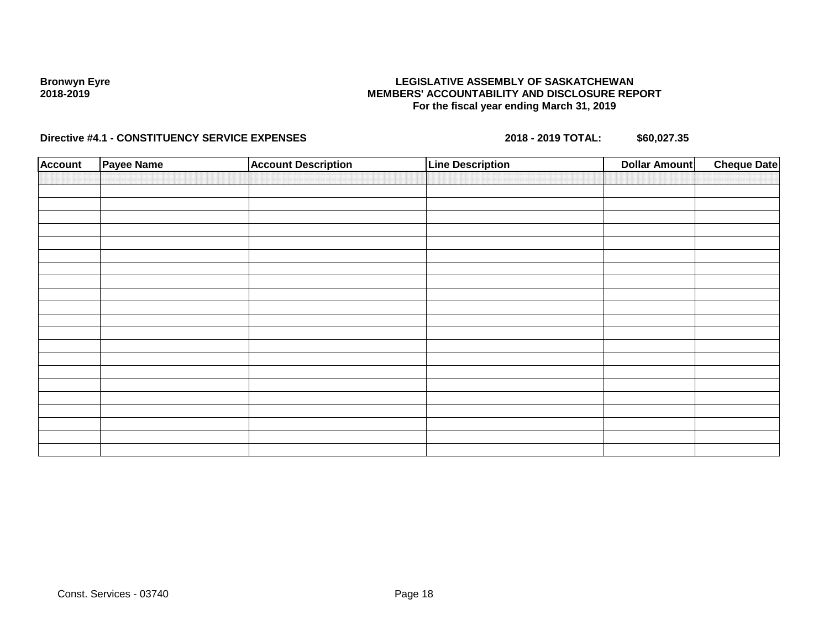### **LEGISLATIVE ASSEMBLY OF SASKATCHEWAN MEMBERS' ACCOUNTABILITY AND DISCLOSURE REPORT For the fiscal year ending March 31, 2019**

| <b>Account</b> | Payee Name | <b>Account Description</b> | <b>Line Description</b> | <b>Dollar Amount</b> | <b>Cheque Date</b> |
|----------------|------------|----------------------------|-------------------------|----------------------|--------------------|
|                |            |                            |                         |                      |                    |
|                |            |                            |                         |                      |                    |
|                |            |                            |                         |                      |                    |
|                |            |                            |                         |                      |                    |
|                |            |                            |                         |                      |                    |
|                |            |                            |                         |                      |                    |
|                |            |                            |                         |                      |                    |
|                |            |                            |                         |                      |                    |
|                |            |                            |                         |                      |                    |
|                |            |                            |                         |                      |                    |
|                |            |                            |                         |                      |                    |
|                |            |                            |                         |                      |                    |
|                |            |                            |                         |                      |                    |
|                |            |                            |                         |                      |                    |
|                |            |                            |                         |                      |                    |
|                |            |                            |                         |                      |                    |
|                |            |                            |                         |                      |                    |
|                |            |                            |                         |                      |                    |
|                |            |                            |                         |                      |                    |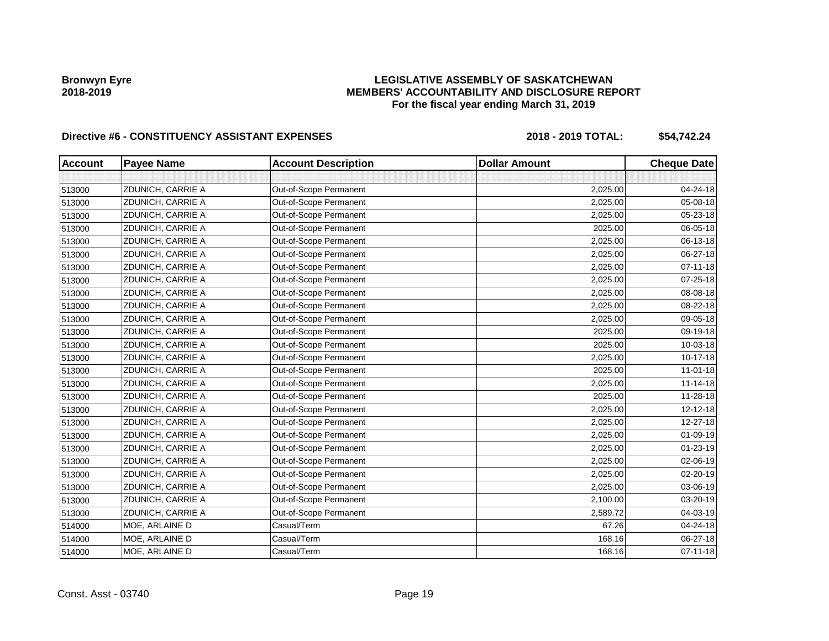## **LEGISLATIVE ASSEMBLY OF SASKATCHEWAN MEMBERS' ACCOUNTABILITY AND DISCLOSURE REPORT For the fiscal year ending March 31, 2019**

| <b>Account</b> | <b>Payee Name</b> | <b>Account Description</b> | <b>Dollar Amount</b> | <b>Cheque Date</b> |
|----------------|-------------------|----------------------------|----------------------|--------------------|
|                |                   |                            |                      |                    |
| 513000         | ZDUNICH, CARRIE A | Out-of-Scope Permanent     | 2,025.00             | 04-24-18           |
| 513000         | ZDUNICH, CARRIE A | Out-of-Scope Permanent     | 2,025.00             | 05-08-18           |
| 513000         | ZDUNICH, CARRIE A | Out-of-Scope Permanent     | 2,025.00             | 05-23-18           |
| 513000         | ZDUNICH, CARRIE A | Out-of-Scope Permanent     | 2025.00              | 06-05-18           |
| 513000         | ZDUNICH, CARRIE A | Out-of-Scope Permanent     | 2,025.00             | 06-13-18           |
| 513000         | ZDUNICH, CARRIE A | Out-of-Scope Permanent     | 2,025.00             | 06-27-18           |
| 513000         | ZDUNICH, CARRIE A | Out-of-Scope Permanent     | 2,025.00             | $07 - 11 - 18$     |
| 513000         | ZDUNICH, CARRIE A | Out-of-Scope Permanent     | 2,025.00             | 07-25-18           |
| 513000         | ZDUNICH, CARRIE A | Out-of-Scope Permanent     | 2,025.00             | 08-08-18           |
| 513000         | ZDUNICH, CARRIE A | Out-of-Scope Permanent     | 2,025.00             | 08-22-18           |
| 513000         | ZDUNICH, CARRIE A | Out-of-Scope Permanent     | 2,025.00             | 09-05-18           |
| 513000         | ZDUNICH, CARRIE A | Out-of-Scope Permanent     | 2025.00              | 09-19-18           |
| 513000         | ZDUNICH, CARRIE A | Out-of-Scope Permanent     | 2025.00              | 10-03-18           |
| 513000         | ZDUNICH, CARRIE A | Out-of-Scope Permanent     | 2,025.00             | 10-17-18           |
| 513000         | ZDUNICH, CARRIE A | Out-of-Scope Permanent     | 2025.00              | $11 - 01 - 18$     |
| 513000         | ZDUNICH, CARRIE A | Out-of-Scope Permanent     | 2,025.00             | $11 - 14 - 18$     |
| 513000         | ZDUNICH, CARRIE A | Out-of-Scope Permanent     | 2025.00              | $11 - 28 - 18$     |
| 513000         | ZDUNICH, CARRIE A | Out-of-Scope Permanent     | 2,025.00             | 12-12-18           |
| 513000         | ZDUNICH, CARRIE A | Out-of-Scope Permanent     | 2,025.00             | 12-27-18           |
| 513000         | ZDUNICH, CARRIE A | Out-of-Scope Permanent     | 2,025.00             | 01-09-19           |
| 513000         | ZDUNICH, CARRIE A | Out-of-Scope Permanent     | 2,025.00             | 01-23-19           |
| 513000         | ZDUNICH, CARRIE A | Out-of-Scope Permanent     | 2,025.00             | 02-06-19           |
| 513000         | ZDUNICH, CARRIE A | Out-of-Scope Permanent     | 2,025.00             | 02-20-19           |
| 513000         | ZDUNICH, CARRIE A | Out-of-Scope Permanent     | 2,025.00             | 03-06-19           |
| 513000         | ZDUNICH, CARRIE A | Out-of-Scope Permanent     | 2,100.00             | 03-20-19           |
| 513000         | ZDUNICH, CARRIE A | Out-of-Scope Permanent     | 2,589.72             | 04-03-19           |
| 514000         | MOE, ARLAINE D    | Casual/Term                | 67.26                | 04-24-18           |
| 514000         | MOE, ARLAINE D    | Casual/Term                | 168.16               | 06-27-18           |
| 514000         | MOE, ARLAINE D    | Casual/Term                | 168.16               | $07 - 11 - 18$     |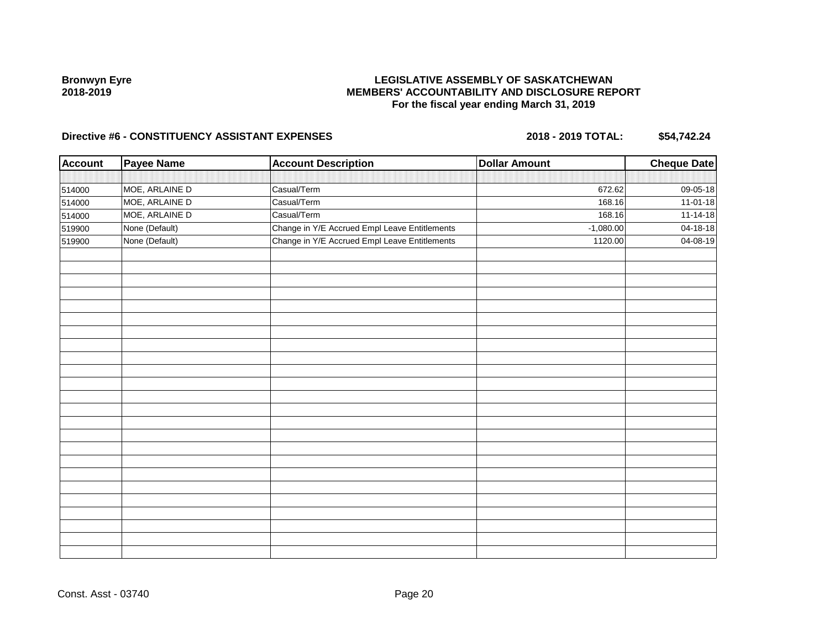## **LEGISLATIVE ASSEMBLY OF SASKATCHEWAN MEMBERS' ACCOUNTABILITY AND DISCLOSURE REPORT For the fiscal year ending March 31, 2019**

| <b>Account</b> | <b>Payee Name</b> | <b>Account Description</b>                    | <b>Dollar Amount</b> | <b>Cheque Date</b> |
|----------------|-------------------|-----------------------------------------------|----------------------|--------------------|
|                |                   |                                               |                      |                    |
| 514000         | MOE, ARLAINE D    | Casual/Term                                   | 672.62               | 09-05-18           |
| 514000         | MOE, ARLAINE D    | Casual/Term                                   | 168.16               | 11-01-18           |
| 514000         | MOE, ARLAINE D    | Casual/Term                                   | 168.16               | $11-14-18$         |
| 519900         | None (Default)    | Change in Y/E Accrued Empl Leave Entitlements | $-1,080.00$          | 04-18-18           |
| 519900         | None (Default)    | Change in Y/E Accrued Empl Leave Entitlements | 1120.00              | 04-08-19           |
|                |                   |                                               |                      |                    |
|                |                   |                                               |                      |                    |
|                |                   |                                               |                      |                    |
|                |                   |                                               |                      |                    |
|                |                   |                                               |                      |                    |
|                |                   |                                               |                      |                    |
|                |                   |                                               |                      |                    |
|                |                   |                                               |                      |                    |
|                |                   |                                               |                      |                    |
|                |                   |                                               |                      |                    |
|                |                   |                                               |                      |                    |
|                |                   |                                               |                      |                    |
|                |                   |                                               |                      |                    |
|                |                   |                                               |                      |                    |
|                |                   |                                               |                      |                    |
|                |                   |                                               |                      |                    |
|                |                   |                                               |                      |                    |
|                |                   |                                               |                      |                    |
|                |                   |                                               |                      |                    |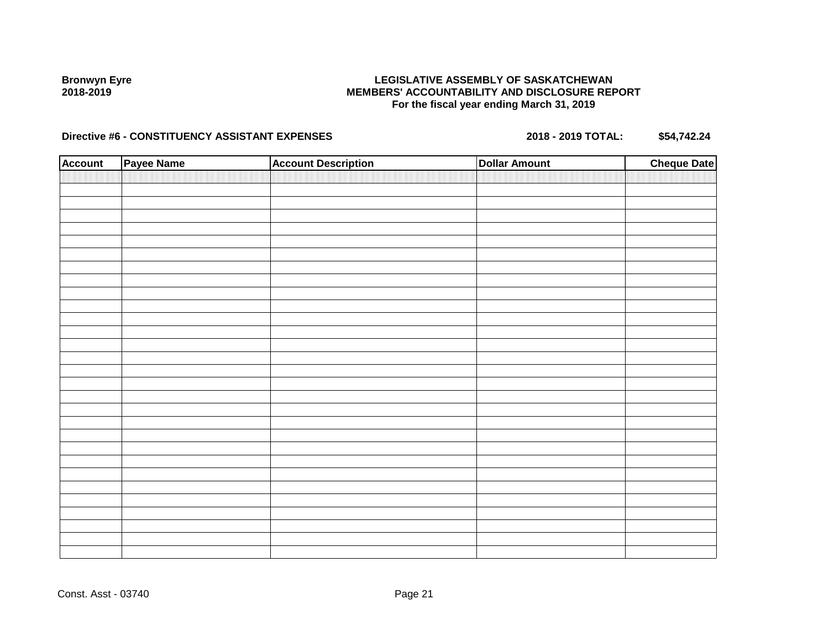## **LEGISLATIVE ASSEMBLY OF SASKATCHEWAN MEMBERS' ACCOUNTABILITY AND DISCLOSURE REPORT For the fiscal year ending March 31, 2019**

| <b>Account</b> | Payee Name | <b>Account Description</b> | <b>Dollar Amount</b> | <b>Cheque Date</b> |
|----------------|------------|----------------------------|----------------------|--------------------|
|                |            |                            |                      |                    |
|                |            |                            |                      |                    |
|                |            |                            |                      |                    |
|                |            |                            |                      |                    |
|                |            |                            |                      |                    |
|                |            |                            |                      |                    |
|                |            |                            |                      |                    |
|                |            |                            |                      |                    |
|                |            |                            |                      |                    |
|                |            |                            |                      |                    |
|                |            |                            |                      |                    |
|                |            |                            |                      |                    |
|                |            |                            |                      |                    |
|                |            |                            |                      |                    |
|                |            |                            |                      |                    |
|                |            |                            |                      |                    |
|                |            |                            |                      |                    |
|                |            |                            |                      |                    |
|                |            |                            |                      |                    |
|                |            |                            |                      |                    |
|                |            |                            |                      |                    |
|                |            |                            |                      |                    |
|                |            |                            |                      |                    |
|                |            |                            |                      |                    |
|                |            |                            |                      |                    |
|                |            |                            |                      |                    |
|                |            |                            |                      |                    |
|                |            |                            |                      |                    |
|                |            |                            |                      |                    |